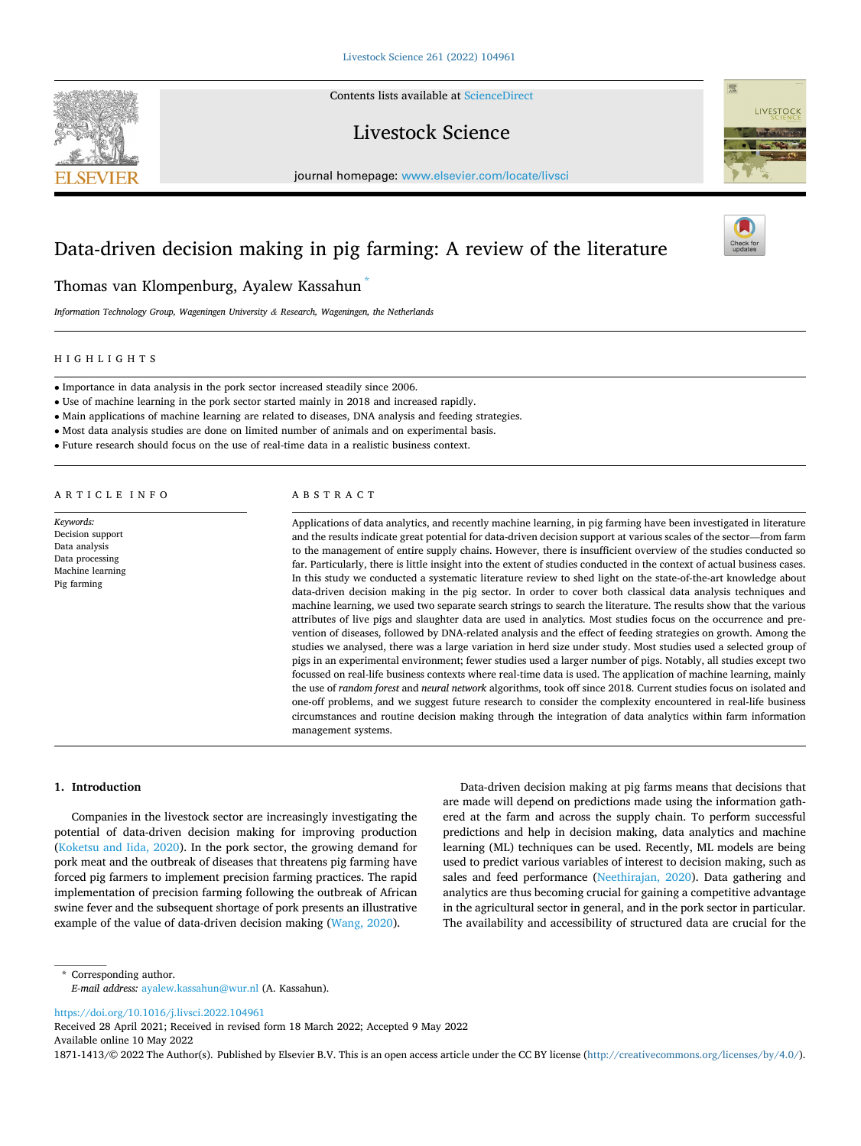Contents lists available at [ScienceDirect](www.sciencedirect.com/science/journal/18711413)

# Livestock Science

journal homepage: [www.elsevier.com/locate/livsci](https://www.elsevier.com/locate/livsci) 

# Data-driven decision making in pig farming: A review of the literature

# Thomas van Klompenburg, Ayalew Kassahun \*

*Information Technology Group, Wageningen University & Research, Wageningen, the Netherlands* 

# HIGHLIGHTS

• Importance in data analysis in the pork sector increased steadily since 2006.

- Use of machine learning in the pork sector started mainly in 2018 and increased rapidly.
- Main applications of machine learning are related to diseases, DNA analysis and feeding strategies.
- Most data analysis studies are done on limited number of animals and on experimental basis.
- Future research should focus on the use of real-time data in a realistic business context.

ARTICLE INFO

*Keywords:*  Decision support Data analysis Data processing Machine learning Pig farming

# ABSTRACT

Applications of data analytics, and recently machine learning, in pig farming have been investigated in literature and the results indicate great potential for data-driven decision support at various scales of the sector—from farm to the management of entire supply chains. However, there is insufficient overview of the studies conducted so far. Particularly, there is little insight into the extent of studies conducted in the context of actual business cases. In this study we conducted a systematic literature review to shed light on the state-of-the-art knowledge about data-driven decision making in the pig sector. In order to cover both classical data analysis techniques and machine learning, we used two separate search strings to search the literature. The results show that the various attributes of live pigs and slaughter data are used in analytics. Most studies focus on the occurrence and prevention of diseases, followed by DNA-related analysis and the effect of feeding strategies on growth. Among the studies we analysed, there was a large variation in herd size under study. Most studies used a selected group of pigs in an experimental environment; fewer studies used a larger number of pigs. Notably, all studies except two focussed on real-life business contexts where real-time data is used. The application of machine learning, mainly the use of *random forest* and *neural network* algorithms, took off since 2018. Current studies focus on isolated and one-off problems, and we suggest future research to consider the complexity encountered in real-life business circumstances and routine decision making through the integration of data analytics within farm information management systems.

**1. Introduction** 

Companies in the livestock sector are increasingly investigating the potential of data-driven decision making for improving production ([Koketsu and Iida, 2020](#page-13-0)). In the pork sector, the growing demand for pork meat and the outbreak of diseases that threatens pig farming have forced pig farmers to implement precision farming practices. The rapid implementation of precision farming following the outbreak of African swine fever and the subsequent shortage of pork presents an illustrative example of the value of data-driven decision making [\(Wang, 2020\)](#page-14-0).

Data-driven decision making at pig farms means that decisions that are made will depend on predictions made using the information gathered at the farm and across the supply chain. To perform successful predictions and help in decision making, data analytics and machine learning (ML) techniques can be used. Recently, ML models are being used to predict various variables of interest to decision making, such as sales and feed performance [\(Neethirajan, 2020](#page-13-0)). Data gathering and analytics are thus becoming crucial for gaining a competitive advantage in the agricultural sector in general, and in the pork sector in particular. The availability and accessibility of structured data are crucial for the

\* Corresponding author. *E-mail address:* [ayalew.kassahun@wur.nl](mailto:ayalew.kassahun@wur.nl) (A. Kassahun).

<https://doi.org/10.1016/j.livsci.2022.104961>

Available online 10 May 2022 Received 28 April 2021; Received in revised form 18 March 2022; Accepted 9 May 2022

1871-1413/© 2022 The Author(s). Published by Elsevier B.V. This is an open access article under the CC BY license [\(http://creativecommons.org/licenses/by/4.0/\)](http://creativecommons.org/licenses/by/4.0/).



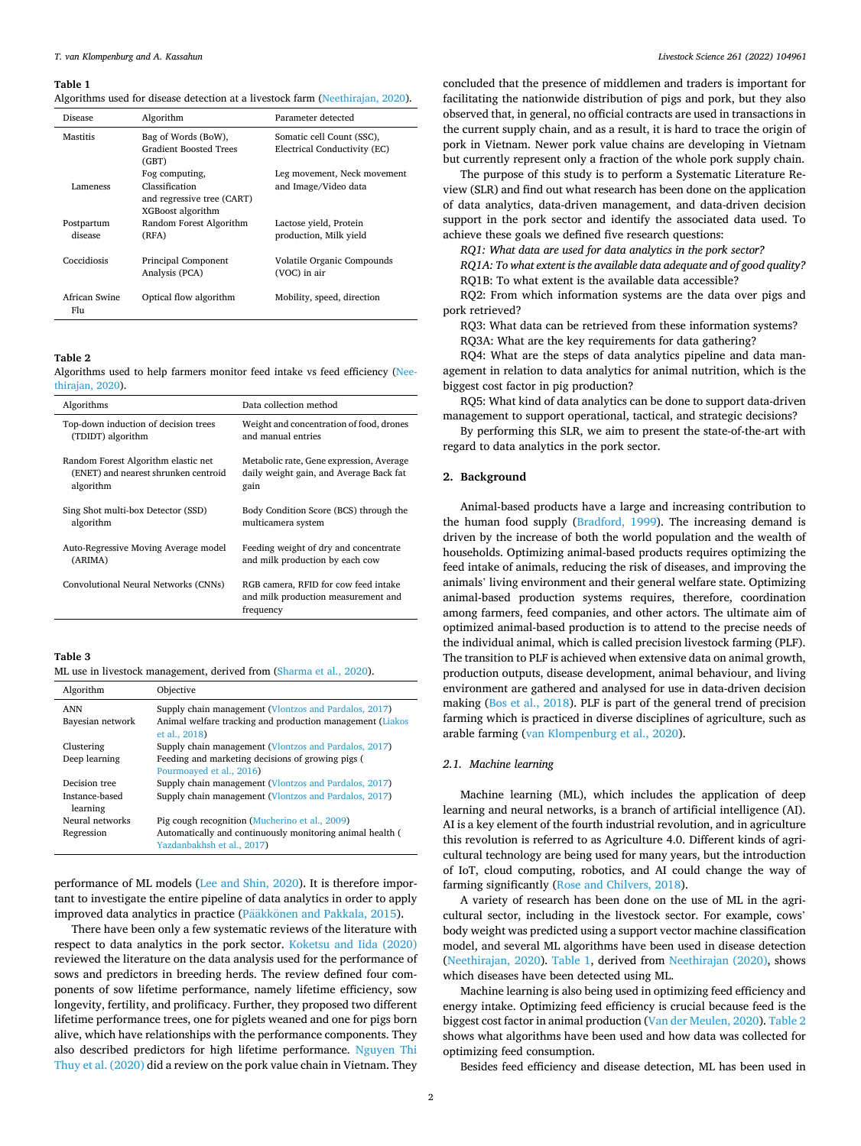<span id="page-1-0"></span>Algorithms used for disease detection at a livestock farm [\(Neethirajan, 2020\)](#page-13-0).

| <b>Disease</b>        | Algorithm                              | Parameter detected           |
|-----------------------|----------------------------------------|------------------------------|
| Mastitis              | Bag of Words (BoW),                    | Somatic cell Count (SSC),    |
|                       | <b>Gradient Boosted Trees</b><br>(GBT) | Electrical Conductivity (EC) |
|                       | Fog computing,                         | Leg movement, Neck movement  |
| Lameness              | Classification                         | and Image/Video data         |
|                       | and regressive tree (CART)             |                              |
|                       | XGBoost algorithm                      |                              |
| Postpartum            | Random Forest Algorithm                | Lactose vield, Protein       |
| disease               | (RFA)                                  | production, Milk yield       |
| Coccidiosis           | Principal Component                    | Volatile Organic Compounds   |
|                       | Analysis (PCA)                         | (VOC) in air                 |
| African Swine<br>F111 | Optical flow algorithm                 | Mobility, speed, direction   |

#### **Table 2**

Algorithms used to help farmers monitor feed intake vs feed efficiency [\(Nee](#page-13-0)[thirajan, 2020\)](#page-13-0).

| Algorithms                           | Data collection method                                                                   |
|--------------------------------------|------------------------------------------------------------------------------------------|
| Top-down induction of decision trees | Weight and concentration of food, drones                                                 |
| (TDIDT) algorithm                    | and manual entries                                                                       |
| Random Forest Algorithm elastic net  | Metabolic rate, Gene expression, Average                                                 |
| (ENET) and nearest shrunken centroid | daily weight gain, and Average Back fat                                                  |
| algorithm                            | gain                                                                                     |
| Sing Shot multi-box Detector (SSD)   | Body Condition Score (BCS) through the                                                   |
| algorithm                            | multicamera system                                                                       |
| Auto-Regressive Moving Average model | Feeding weight of dry and concentrate                                                    |
| (ARIMA)                              | and milk production by each cow                                                          |
| Convolutional Neural Networks (CNNs) | RGB camera, RFID for cow feed intake<br>and milk production measurement and<br>frequency |

**Table 3** 

ML use in livestock management, derived from [\(Sharma et al., 2020](#page-13-0)).

| Algorithm                  | Objective                                                                               |
|----------------------------|-----------------------------------------------------------------------------------------|
| <b>ANN</b>                 | Supply chain management (Vlontzos and Pardalos, 2017)                                   |
| Bayesian network           | Animal welfare tracking and production management (Liakos<br>et al., 2018)              |
| Clustering                 | Supply chain management (Vlontzos and Pardalos, 2017)                                   |
| Deep learning              | Feeding and marketing decisions of growing pigs (                                       |
|                            | Pourmoayed et al., 2016)                                                                |
| Decision tree              | Supply chain management (Vlontzos and Pardalos, 2017)                                   |
| Instance-based<br>learning | Supply chain management (Vlontzos and Pardalos, 2017)                                   |
| Neural networks            | Pig cough recognition (Mucherino et al., 2009)                                          |
| Regression                 | Automatically and continuously monitoring animal health (<br>Yazdanbakhsh et al., 2017) |

performance of ML models [\(Lee and Shin, 2020\)](#page-13-0). It is therefore important to investigate the entire pipeline of data analytics in order to apply improved data analytics in practice (Pääkkönen [and Pakkala, 2015](#page-13-0)).

There have been only a few systematic reviews of the literature with respect to data analytics in the pork sector. [Koketsu and Iida \(2020\)](#page-13-0)  reviewed the literature on the data analysis used for the performance of sows and predictors in breeding herds. The review defined four components of sow lifetime performance, namely lifetime efficiency, sow longevity, fertility, and prolificacy. Further, they proposed two different lifetime performance trees, one for piglets weaned and one for pigs born alive, which have relationships with the performance components. They also described predictors for high lifetime performance. [Nguyen Thi](#page-13-0)  [Thuy et al. \(2020\)](#page-13-0) did a review on the pork value chain in Vietnam. They

concluded that the presence of middlemen and traders is important for facilitating the nationwide distribution of pigs and pork, but they also observed that, in general, no official contracts are used in transactions in the current supply chain, and as a result, it is hard to trace the origin of pork in Vietnam. Newer pork value chains are developing in Vietnam but currently represent only a fraction of the whole pork supply chain.

The purpose of this study is to perform a Systematic Literature Review (SLR) and find out what research has been done on the application of data analytics, data-driven management, and data-driven decision support in the pork sector and identify the associated data used. To achieve these goals we defined five research questions:

*RQ1: What data are used for data analytics in the pork sector?* 

*RQ1A: To what extent is the available data adequate and of good quality?*  RQ1B: To what extent is the available data accessible?

RQ2: From which information systems are the data over pigs and pork retrieved?

RQ3: What data can be retrieved from these information systems? RQ3A: What are the key requirements for data gathering?

RQ4: What are the steps of data analytics pipeline and data management in relation to data analytics for animal nutrition, which is the biggest cost factor in pig production?

RQ5: What kind of data analytics can be done to support data-driven management to support operational, tactical, and strategic decisions?

By performing this SLR, we aim to present the state-of-the-art with regard to data analytics in the pork sector.

### **2. Background**

Animal-based products have a large and increasing contribution to the human food supply [\(Bradford, 1999](#page-13-0)). The increasing demand is driven by the increase of both the world population and the wealth of households. Optimizing animal-based products requires optimizing the feed intake of animals, reducing the risk of diseases, and improving the animals' living environment and their general welfare state. Optimizing animal-based production systems requires, therefore, coordination among farmers, feed companies, and other actors. The ultimate aim of optimized animal-based production is to attend to the precise needs of the individual animal, which is called precision livestock farming (PLF). The transition to PLF is achieved when extensive data on animal growth, production outputs, disease development, animal behaviour, and living environment are gathered and analysed for use in data-driven decision making [\(Bos et al., 2018\)](#page-13-0). PLF is part of the general trend of precision farming which is practiced in diverse disciplines of agriculture, such as arable farming ([van Klompenburg et al., 2020](#page-14-0)).

### *2.1. Machine learning*

Machine learning (ML), which includes the application of deep learning and neural networks, is a branch of artificial intelligence (AI). AI is a key element of the fourth industrial revolution, and in agriculture this revolution is referred to as Agriculture 4.0. Different kinds of agricultural technology are being used for many years, but the introduction of IoT, cloud computing, robotics, and AI could change the way of farming significantly [\(Rose and Chilvers, 2018](#page-13-0)).

A variety of research has been done on the use of ML in the agricultural sector, including in the livestock sector. For example, cows' body weight was predicted using a support vector machine classification model, and several ML algorithms have been used in disease detection ([Neethirajan, 2020\)](#page-13-0). Table 1, derived from [Neethirajan \(2020\)](#page-13-0), shows which diseases have been detected using ML.

Machine learning is also being used in optimizing feed efficiency and energy intake. Optimizing feed efficiency is crucial because feed is the biggest cost factor in animal production [\(Van der Meulen, 2020](#page-13-0)). Table 2 shows what algorithms have been used and how data was collected for optimizing feed consumption.

Besides feed efficiency and disease detection, ML has been used in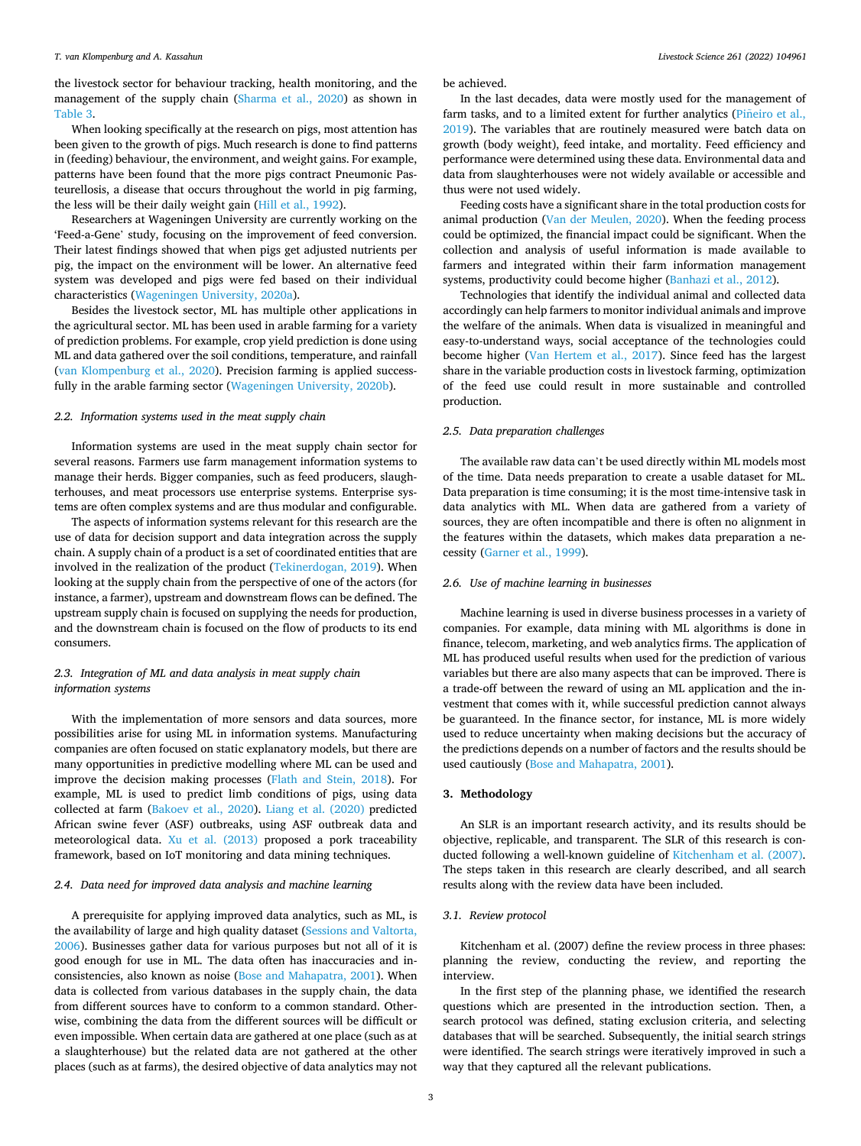the livestock sector for behaviour tracking, health monitoring, and the management of the supply chain ([Sharma et al., 2020\)](#page-13-0) as shown in [Table 3](#page-1-0).

When looking specifically at the research on pigs, most attention has been given to the growth of pigs. Much research is done to find patterns in (feeding) behaviour, the environment, and weight gains. For example, patterns have been found that the more pigs contract Pneumonic Pasteurellosis, a disease that occurs throughout the world in pig farming, the less will be their daily weight gain ([Hill et al., 1992](#page-13-0)).

Researchers at Wageningen University are currently working on the 'Feed-a-Gene' study, focusing on the improvement of feed conversion. Their latest findings showed that when pigs get adjusted nutrients per pig, the impact on the environment will be lower. An alternative feed system was developed and pigs were fed based on their individual characteristics ([Wageningen University, 2020a\)](#page-14-0).

Besides the livestock sector, ML has multiple other applications in the agricultural sector. ML has been used in arable farming for a variety of prediction problems. For example, crop yield prediction is done using ML and data gathered over the soil conditions, temperature, and rainfall ([van Klompenburg et al., 2020\)](#page-14-0). Precision farming is applied successfully in the arable farming sector ([Wageningen University, 2020b](#page-14-0)).

# *2.2. Information systems used in the meat supply chain*

Information systems are used in the meat supply chain sector for several reasons. Farmers use farm management information systems to manage their herds. Bigger companies, such as feed producers, slaughterhouses, and meat processors use enterprise systems. Enterprise systems are often complex systems and are thus modular and configurable.

The aspects of information systems relevant for this research are the use of data for decision support and data integration across the supply chain. A supply chain of a product is a set of coordinated entities that are involved in the realization of the product [\(Tekinerdogan, 2019\)](#page-13-0). When looking at the supply chain from the perspective of one of the actors (for instance, a farmer), upstream and downstream flows can be defined. The upstream supply chain is focused on supplying the needs for production, and the downstream chain is focused on the flow of products to its end consumers.

# *2.3. Integration of ML and data analysis in meat supply chain information systems*

With the implementation of more sensors and data sources, more possibilities arise for using ML in information systems. Manufacturing companies are often focused on static explanatory models, but there are many opportunities in predictive modelling where ML can be used and improve the decision making processes ([Flath and Stein, 2018\)](#page-13-0). For example, ML is used to predict limb conditions of pigs, using data collected at farm [\(Bakoev et al., 2020\)](#page-13-0). [Liang et al. \(2020\)](#page-13-0) predicted African swine fever (ASF) outbreaks, using ASF outbreak data and meteorological data. [Xu et al. \(2013\)](#page-14-0) proposed a pork traceability framework, based on IoT monitoring and data mining techniques.

# *2.4. Data need for improved data analysis and machine learning*

A prerequisite for applying improved data analytics, such as ML, is the availability of large and high quality dataset ([Sessions and Valtorta,](#page-13-0)  [2006\)](#page-13-0). Businesses gather data for various purposes but not all of it is good enough for use in ML. The data often has inaccuracies and inconsistencies, also known as noise ([Bose and Mahapatra, 2001](#page-13-0)). When data is collected from various databases in the supply chain, the data from different sources have to conform to a common standard. Otherwise, combining the data from the different sources will be difficult or even impossible. When certain data are gathered at one place (such as at a slaughterhouse) but the related data are not gathered at the other places (such as at farms), the desired objective of data analytics may not be achieved.

In the last decades, data were mostly used for the management of farm tasks, and to a limited extent for further analytics (Piñeiro et al., [2019\)](#page-13-0). The variables that are routinely measured were batch data on growth (body weight), feed intake, and mortality. Feed efficiency and performance were determined using these data. Environmental data and data from slaughterhouses were not widely available or accessible and thus were not used widely.

Feeding costs have a significant share in the total production costs for animal production ([Van der Meulen, 2020\)](#page-13-0). When the feeding process could be optimized, the financial impact could be significant. When the collection and analysis of useful information is made available to farmers and integrated within their farm information management systems, productivity could become higher ([Banhazi et al., 2012](#page-13-0)).

Technologies that identify the individual animal and collected data accordingly can help farmers to monitor individual animals and improve the welfare of the animals. When data is visualized in meaningful and easy-to-understand ways, social acceptance of the technologies could become higher [\(Van Hertem et al., 2017](#page-13-0)). Since feed has the largest share in the variable production costs in livestock farming, optimization of the feed use could result in more sustainable and controlled production.

# *2.5. Data preparation challenges*

The available raw data can't be used directly within ML models most of the time. Data needs preparation to create a usable dataset for ML. Data preparation is time consuming; it is the most time-intensive task in data analytics with ML. When data are gathered from a variety of sources, they are often incompatible and there is often no alignment in the features within the datasets, which makes data preparation a necessity [\(Garner et al., 1999](#page-13-0)).

### *2.6. Use of machine learning in businesses*

Machine learning is used in diverse business processes in a variety of companies. For example, data mining with ML algorithms is done in finance, telecom, marketing, and web analytics firms. The application of ML has produced useful results when used for the prediction of various variables but there are also many aspects that can be improved. There is a trade-off between the reward of using an ML application and the investment that comes with it, while successful prediction cannot always be guaranteed. In the finance sector, for instance, ML is more widely used to reduce uncertainty when making decisions but the accuracy of the predictions depends on a number of factors and the results should be used cautiously ([Bose and Mahapatra, 2001](#page-13-0)).

# **3. Methodology**

An SLR is an important research activity, and its results should be objective, replicable, and transparent. The SLR of this research is conducted following a well-known guideline of [Kitchenham et al. \(2007\)](#page-13-0). The steps taken in this research are clearly described, and all search results along with the review data have been included.

# *3.1. Review protocol*

Kitchenham et al. (2007) define the review process in three phases: planning the review, conducting the review, and reporting the interview.

In the first step of the planning phase, we identified the research questions which are presented in the introduction section. Then, a search protocol was defined, stating exclusion criteria, and selecting databases that will be searched. Subsequently, the initial search strings were identified. The search strings were iteratively improved in such a way that they captured all the relevant publications.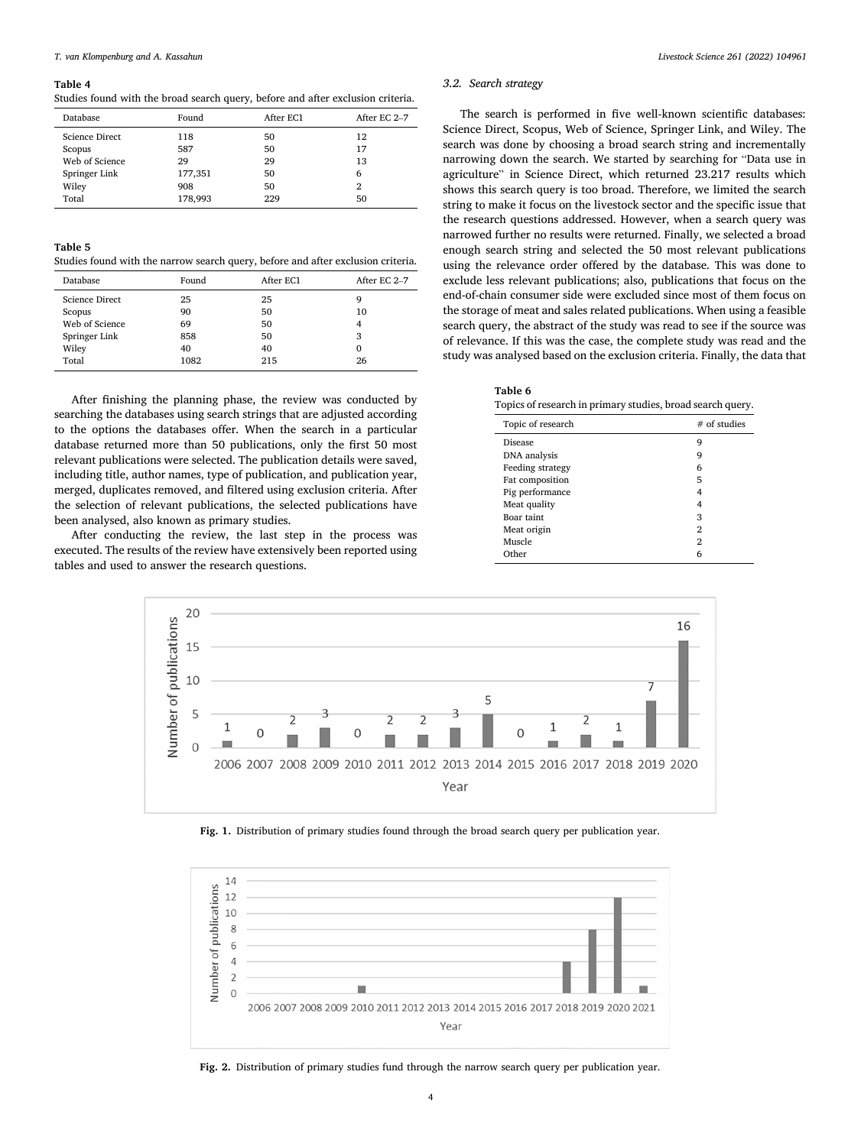<span id="page-3-0"></span>Studies found with the broad search query, before and after exclusion criteria.

| Database              | Found   | After EC1 | After EC 2-7 |
|-----------------------|---------|-----------|--------------|
| <b>Science Direct</b> | 118     | 50        | 12           |
| Scopus                | 587     | 50        | 17           |
| Web of Science        | 29      | 29        | 13           |
| Springer Link         | 177,351 | 50        | 6            |
| Wiley                 | 908     | 50        | 2            |
| Total                 | 178,993 | 229       | 50           |

## **Table 5**

Studies found with the narrow search query, before and after exclusion criteria.

| Database              | Found | After EC1 | After EC 2-7 |
|-----------------------|-------|-----------|--------------|
| <b>Science Direct</b> | 25    | 25        | q            |
| Scopus                | 90    | 50        | 10           |
| Web of Science        | 69    | 50        | 4            |
| Springer Link         | 858   | 50        | 3            |
| Wiley                 | 40    | 40        | $\Omega$     |
| Total                 | 1082  | 215       | 26           |

After finishing the planning phase, the review was conducted by searching the databases using search strings that are adjusted according to the options the databases offer. When the search in a particular database returned more than 50 publications, only the first 50 most relevant publications were selected. The publication details were saved, including title, author names, type of publication, and publication year, merged, duplicates removed, and filtered using exclusion criteria. After the selection of relevant publications, the selected publications have been analysed, also known as primary studies.

After conducting the review, the last step in the process was executed. The results of the review have extensively been reported using tables and used to answer the research questions.

# *3.2. Search strategy*

The search is performed in five well-known scientific databases: Science Direct, Scopus, Web of Science, Springer Link, and Wiley. The search was done by choosing a broad search string and incrementally narrowing down the search. We started by searching for "Data use in agriculture" in Science Direct, which returned 23.217 results which shows this search query is too broad. Therefore, we limited the search string to make it focus on the livestock sector and the specific issue that the research questions addressed. However, when a search query was narrowed further no results were returned. Finally, we selected a broad enough search string and selected the 50 most relevant publications using the relevance order offered by the database. This was done to exclude less relevant publications; also, publications that focus on the end-of-chain consumer side were excluded since most of them focus on the storage of meat and sales related publications. When using a feasible search query, the abstract of the study was read to see if the source was of relevance. If this was the case, the complete study was read and the study was analysed based on the exclusion criteria. Finally, the data that

| n |  |
|---|--|
|---|--|

Topics of research in primary studies, broad search query.

| Topic of research | $#$ of studies |
|-------------------|----------------|
| <b>Disease</b>    | 9              |
| DNA analysis      | 9              |
| Feeding strategy  | 6              |
| Fat composition   | 5              |
| Pig performance   | 4              |
| Meat quality      | 4              |
| Boar taint        | 3              |
| Meat origin       | 2              |
| Muscle            | 2              |
| Other             | 6              |



**Fig. 1.** Distribution of primary studies found through the broad search query per publication year.



**Fig. 2.** Distribution of primary studies fund through the narrow search query per publication year.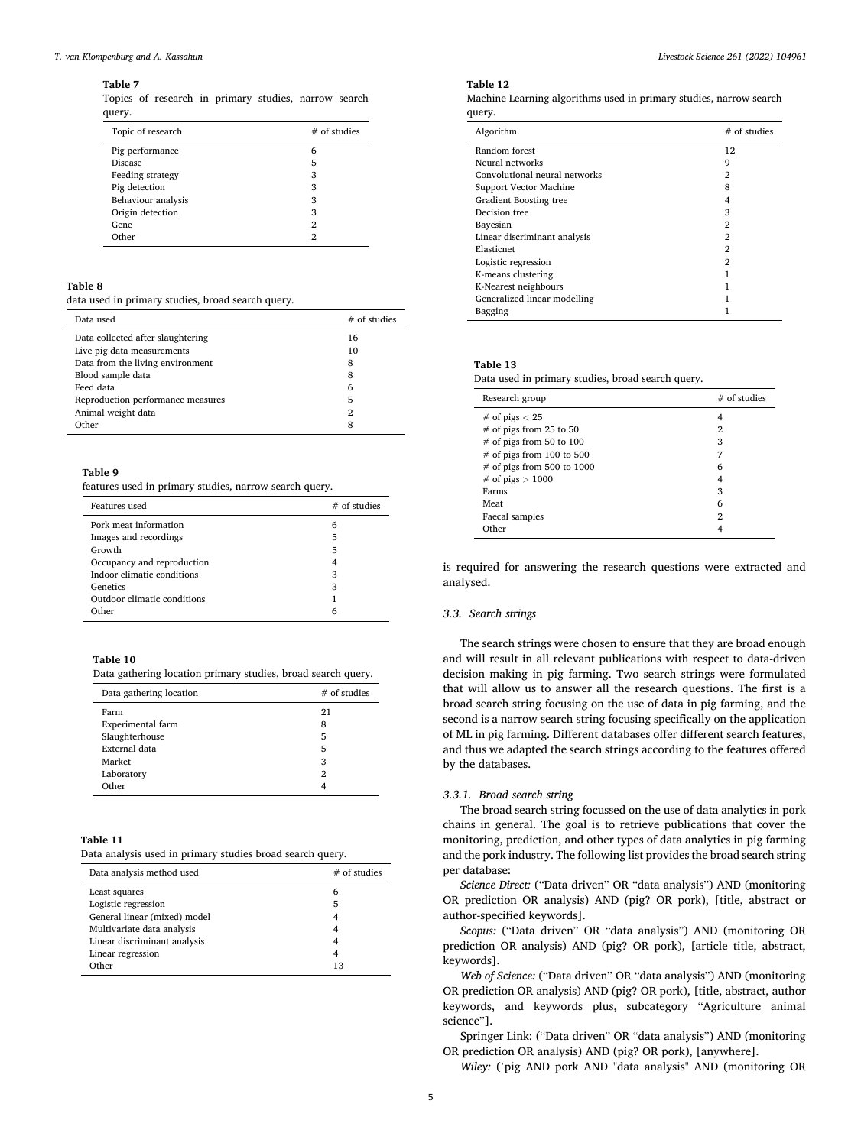#### <span id="page-4-0"></span>**Table 7**

Topics of research in primary studies, narrow search query.

| Topic of research  | $#$ of studies |
|--------------------|----------------|
| Pig performance    | 6              |
| <b>Disease</b>     | 5              |
| Feeding strategy   | 3              |
| Pig detection      | 3              |
| Behaviour analysis | 3              |
| Origin detection   | 3              |
| Gene               | 2              |
| Other              | 2              |

## **Table 8**

data used in primary studies, broad search query.

| Data used                         | $#$ of studies |
|-----------------------------------|----------------|
| Data collected after slaughtering | 16             |
| Live pig data measurements        | 10             |
| Data from the living environment  | 8              |
| Blood sample data                 | 8              |
| Feed data                         | 6              |
| Reproduction performance measures | 5              |
| Animal weight data                | $\overline{2}$ |
| Other                             | 8              |

## **Table 9**

features used in primary studies, narrow search query.

| Features used               | $#$ of studies |
|-----------------------------|----------------|
| Pork meat information       | 6              |
| Images and recordings       | 5              |
| Growth                      | 5              |
| Occupancy and reproduction  |                |
| Indoor climatic conditions  | 3              |
| Genetics                    | 3              |
| Outdoor climatic conditions |                |
| Other                       | 6              |

#### **Table 10**

Data gathering location primary studies, broad search query.

| Data gathering location | $#$ of studies |
|-------------------------|----------------|
| Farm                    | 21             |
| Experimental farm       | 8              |
| Slaughterhouse          | 5              |
| External data           | 5              |
| Market                  | 3              |
| Laboratory              | 2              |
| Other                   |                |

#### **Table 11**

Data analysis used in primary studies broad search query.

| Data analysis method used    | $#$ of studies |
|------------------------------|----------------|
| Least squares                | 6              |
| Logistic regression          | 5              |
| General linear (mixed) model |                |
| Multivariate data analysis   |                |
| Linear discriminant analysis |                |
| Linear regression            |                |
| Other                        | 13             |

#### **Table 12**

Machine Learning algorithms used in primary studies, narrow search query.

| Algorithm                     | $#$ of studies |
|-------------------------------|----------------|
| Random forest                 | 12             |
| Neural networks               | 9              |
| Convolutional neural networks | 2              |
| <b>Support Vector Machine</b> | 8              |
| <b>Gradient Boosting tree</b> | 4              |
| Decision tree                 | 3              |
| Bayesian                      | 2              |
| Linear discriminant analysis  | $\mathfrak{D}$ |
| Elasticnet                    | 2              |
| Logistic regression           | 2              |
| K-means clustering            |                |
| K-Nearest neighbours          |                |
| Generalized linear modelling  |                |
| Bagging                       |                |

#### **Table 13**

Data used in primary studies, broad search query.

| Research group               | $#$ of studies |
|------------------------------|----------------|
| # of pigs $< 25$             | 4              |
| $#$ of pigs from 25 to 50    | 2              |
| $#$ of pigs from 50 to 100   | 3              |
| $#$ of pigs from 100 to 500  |                |
| $#$ of pigs from 500 to 1000 | 6              |
| # of pigs $> 1000$           | 4              |
| Farms                        | 3              |
| Meat                         | 6              |
| Faecal samples               | 2              |
| Other                        |                |

is required for answering the research questions were extracted and analysed.

#### *3.3. Search strings*

The search strings were chosen to ensure that they are broad enough and will result in all relevant publications with respect to data-driven decision making in pig farming. Two search strings were formulated that will allow us to answer all the research questions. The first is a broad search string focusing on the use of data in pig farming, and the second is a narrow search string focusing specifically on the application of ML in pig farming. Different databases offer different search features, and thus we adapted the search strings according to the features offered by the databases.

#### *3.3.1. Broad search string*

The broad search string focussed on the use of data analytics in pork chains in general. The goal is to retrieve publications that cover the monitoring, prediction, and other types of data analytics in pig farming and the pork industry. The following list provides the broad search string per database:

*Science Direct:* ("Data driven" OR "data analysis") AND (monitoring OR prediction OR analysis) AND (pig? OR pork), [title, abstract or author-specified keywords].

*Scopus:* ("Data driven" OR "data analysis") AND (monitoring OR prediction OR analysis) AND (pig? OR pork), [article title, abstract, keywords].

*Web of Science:* ("Data driven" OR "data analysis") AND (monitoring OR prediction OR analysis) AND (pig? OR pork), [title, abstract, author keywords, and keywords plus, subcategory "Agriculture animal science"].

Springer Link: ("Data driven" OR "data analysis") AND (monitoring OR prediction OR analysis) AND (pig? OR pork), [anywhere].

*Wiley:* ('pig AND pork AND "data analysis" AND (monitoring OR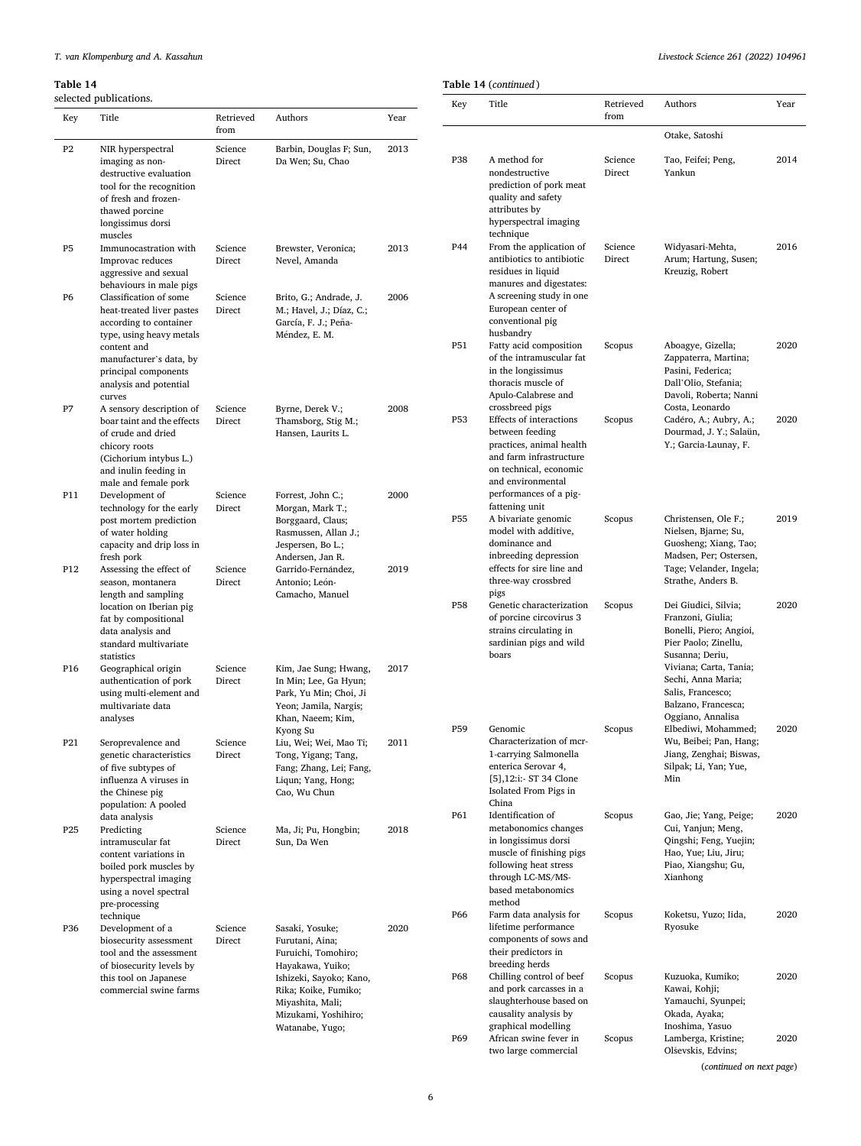| Livestock Science 261 (2022) 104961 |  |  |
|-------------------------------------|--|--|
|                                     |  |  |

Scopus Aboagye, Gizella;

Scopus Cadéro, A.; Aubry, A.;

Scopus Christensen, Ole F.;

Scopus Dei Giudici, Silvia;

Scopus Elbediwi, Mohammed;

Min

Scopus Gao, Jie; Yang, Peige; Cui, Yanjun; Meng, Qingshi; Feng, Yuejin; Hao, Yue; Liu, Jiru; Piao, Xiangshu; Gu, Xianhong

Scopus Koketsu, Yuzo; Iida, Ryosuke

Scopus Kuzuoka, Kumiko; Kawai, Kohji; Yamauchi, Syunpei; Okada, Ayaka; Inoshima, Yasuo

Scopus Lamberga, Kristine;

Wu, Beibei; Pan, Hang; Jiang, Zenghai; Biswas, Silpak; Li, Yan; Yue,

Zappaterra, Martina; Pasini, Federica; Dall'Olio, Stefania; Davoli, Roberta; Nanni Costa, Leonardo

Dourmad, J. Y.; Salaün, Y.; Garcia-Launay, F.

Nielsen, Bjarne; Su, Guosheng; Xiang, Tao; Madsen, Per; Ostersen, Tage; Velander, Ingela; Strathe, Anders B.

Franzoni, Giulia; Bonelli, Piero; Angioi, Pier Paolo; Zinellu, Susanna; Deriu, Viviana; Carta, Tania; Sechi, Anna Maria; Salis, Francesco; Balzano, Francesca; Oggiano, Annalisa

2020

2020

2019

2020

2020

2020

2020

2020

2020

<span id="page-5-0"></span>

|                | selected publications.                                                                                                                                                   |                   |                                                                                                                             |      | Key             | Title                                                                                                                                                                         |
|----------------|--------------------------------------------------------------------------------------------------------------------------------------------------------------------------|-------------------|-----------------------------------------------------------------------------------------------------------------------------|------|-----------------|-------------------------------------------------------------------------------------------------------------------------------------------------------------------------------|
| Key            | Title                                                                                                                                                                    | Retrieved<br>from | Authors                                                                                                                     | Year |                 |                                                                                                                                                                               |
| P <sub>2</sub> | NIR hyperspectral<br>imaging as non-<br>destructive evaluation<br>tool for the recognition<br>of fresh and frozen-<br>thawed porcine<br>longissimus dorsi                | Science<br>Direct | Barbin, Douglas F; Sun,<br>Da Wen; Su, Chao                                                                                 | 2013 | P38             | A method for<br>nondestructive<br>prediction of pork meat<br>quality and safety<br>attributes by<br>hyperspectral imaging                                                     |
| P <sub>5</sub> | muscles<br>Immunocastration with<br>Improvac reduces<br>aggressive and sexual<br>behaviours in male pigs                                                                 | Science<br>Direct | Brewster, Veronica;<br>Nevel, Amanda                                                                                        | 2013 | P44             | technique<br>From the application of<br>antibiotics to antibiotic<br>residues in liquid<br>manures and digestates:                                                            |
| P <sub>6</sub> | Classification of some<br>heat-treated liver pastes<br>according to container<br>type, using heavy metals                                                                | Science<br>Direct | Brito, G.; Andrade, J.<br>M.; Havel, J.; Díaz, C.;<br>García, F. J.; Peña-<br>Méndez, E. M.                                 | 2006 | P51             | A screening study in one<br>European center of<br>conventional pig<br>husbandry<br>Fatty acid composition                                                                     |
|                | content and<br>manufacturer's data, by<br>principal components<br>analysis and potential<br>curves                                                                       |                   |                                                                                                                             |      |                 | of the intramuscular fat<br>in the longissimus<br>thoracis muscle of<br>Apulo-Calabrese and                                                                                   |
| P7             | A sensory description of<br>boar taint and the effects<br>of crude and dried<br>chicory roots<br>(Cichorium intybus L.)<br>and inulin feeding in<br>male and female pork | Science<br>Direct | Byrne, Derek V.;<br>Thamsborg, Stig M.;<br>Hansen, Laurits L.                                                               | 2008 | P <sub>53</sub> | crossbreed pigs<br><b>Effects of interactions</b><br>between feeding<br>practices, animal health<br>and farm infrastructure<br>on technical, economic<br>and environmental    |
| P11            | Development of<br>technology for the early<br>post mortem prediction<br>of water holding<br>capacity and drip loss in<br>fresh pork                                      | Science<br>Direct | Forrest, John C.;<br>Morgan, Mark T.;<br>Borggaard, Claus;<br>Rasmussen, Allan J.;<br>Jespersen, Bo L.;<br>Andersen, Jan R. | 2000 | P55             | performances of a pig-<br>fattening unit<br>A bivariate genomic<br>model with additive,<br>dominance and<br>inbreeding depression                                             |
| P12            | Assessing the effect of<br>season, montanera<br>length and sampling<br>location on Iberian pig<br>fat by compositional<br>data analysis and<br>standard multivariate     | Science<br>Direct | Garrido-Fernández,<br>Antonio; León-<br>Camacho, Manuel                                                                     | 2019 | <b>P58</b>      | effects for sire line and<br>three-way crossbred<br>pigs<br>Genetic characterization<br>of porcine circovirus 3<br>strains circulating in<br>sardinian pigs and wild<br>boars |
| P16            | statistics<br>Geographical origin<br>authentication of pork<br>using multi-element and<br>multivariate data<br>analyses                                                  | Science<br>Direct | Kim, Jae Sung; Hwang,<br>In Min; Lee, Ga Hyun;<br>Park, Yu Min; Choi, Ji<br>Yeon; Jamila, Nargis;<br>Khan, Naeem; Kim,      | 2017 |                 |                                                                                                                                                                               |
| P21            | Seroprevalence and<br>genetic characteristics<br>of five subtypes of<br>influenza A viruses in<br>the Chinese pig<br>population: A pooled                                | Science<br>Direct | Kyong Su<br>Liu, Wei; Wei, Mao Ti;<br>Tong, Yigang; Tang,<br>Fang; Zhang, Lei; Fang,<br>Liqun; Yang, Hong;<br>Cao, Wu Chun  | 2011 | P59             | Genomic<br>Characterization of mcr-<br>1-carrying Salmonella<br>enterica Serovar 4,<br>[5],12:i:- ST 34 Clone<br>Isolated From Pigs in<br>China                               |
| P25            | data analysis<br>Predicting<br>intramuscular fat<br>content variations in<br>boiled pork muscles by<br>hyperspectral imaging<br>using a novel spectral<br>pre-processing | Science<br>Direct | Ma, Ji; Pu, Hongbin;<br>Sun, Da Wen                                                                                         | 2018 | P61             | Identification of<br>metabonomics changes<br>in longissimus dorsi<br>muscle of finishing pigs<br>following heat stress<br>through LC-MS/MS-<br>based metabonomics<br>method   |
| P36            | technique<br>Development of a<br>biosecurity assessment<br>tool and the assessment<br>of biosecurity levels by                                                           | Science<br>Direct | Sasaki, Yosuke;<br>Furutani, Aina;<br>Furuichi, Tomohiro;<br>Hayakawa, Yuiko;                                               | 2020 | P66             | Farm data analysis for<br>lifetime performance<br>components of sows and<br>their predictors in<br>breeding herds                                                             |
|                | this tool on Japanese<br>commercial swine farms                                                                                                                          |                   | Ishizeki, Sayoko; Kano,<br>Rika; Koike, Fumiko;<br>Miyashita, Mali;<br>Mizukami, Yoshihiro;                                 |      | P68             | Chilling control of beef<br>and pork carcasses in a<br>slaughterhouse based on<br>causality analysis by                                                                       |

Watanabe, Yugo;

|     | Table 14 (continued)                                                                                                                   |                   |                                                              |      |  |  |  |
|-----|----------------------------------------------------------------------------------------------------------------------------------------|-------------------|--------------------------------------------------------------|------|--|--|--|
| Key | Title                                                                                                                                  | Retrieved<br>from | Authors                                                      | Year |  |  |  |
|     |                                                                                                                                        |                   | Otake, Satoshi                                               |      |  |  |  |
| P38 | A method for<br>nondestructive<br>prediction of pork meat<br>quality and safety<br>attributes by<br>hyperspectral imaging<br>technique | Science<br>Direct | Tao, Feifei; Peng,<br>Yankun                                 | 2014 |  |  |  |
| P44 | From the application of<br>antibiotics to antibiotic<br>residues in liquid                                                             | Science<br>Direct | Widyasari-Mehta,<br>Arum; Hartung, Susen;<br>Kreuzig, Robert | 2016 |  |  |  |

graphical modelling

P69 African swine fever in two large commercial

| Olševskis, Edvins;       |
|--------------------------|
| (continued on next page) |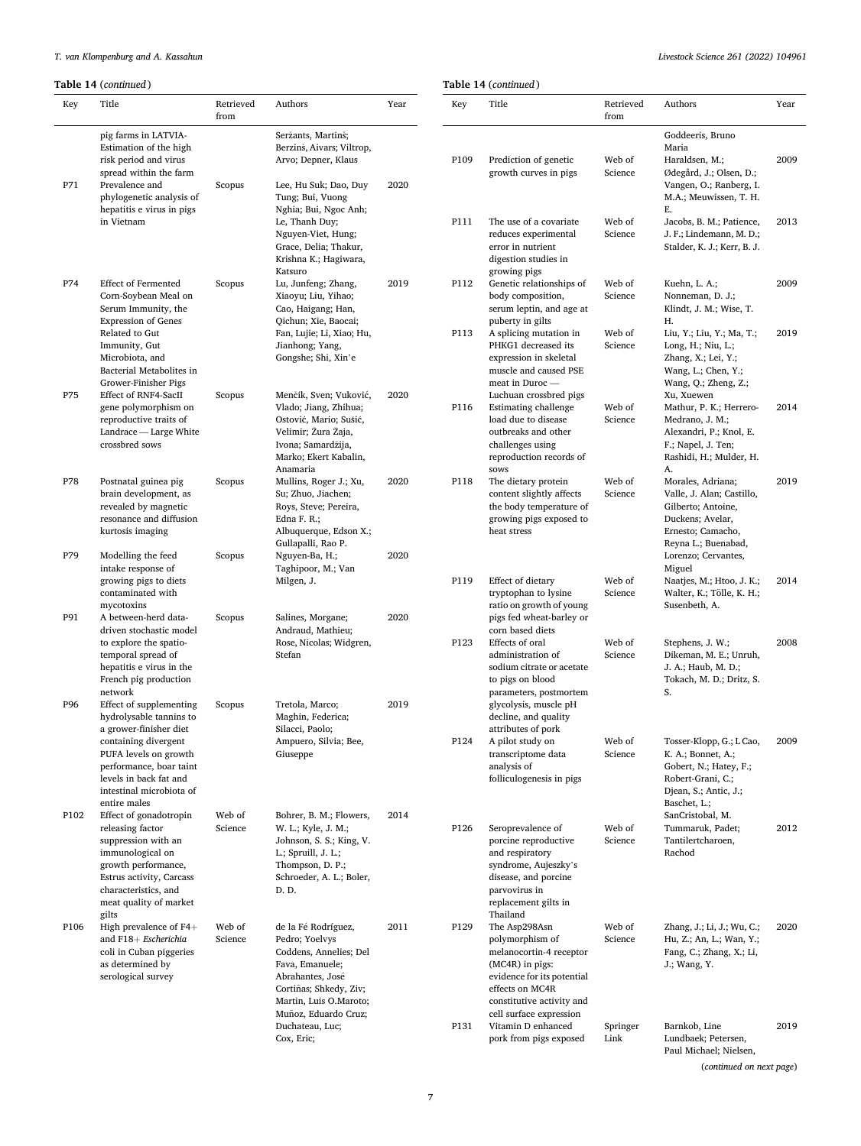|     |                     |                   | Livisiour out |
|-----|---------------------|-------------------|---------------|
|     | able 14 (continued) |                   |               |
| Key | Title               | Retrieved<br>from | Authors       |

Prediction of genetic growth curves in pigs

The use of a covariate reduces experimental error in nutrient digestion studies in growing pigs

Genetic relationships of body composition, serum leptin, and age at puberty in gilts

A splicing mutation in PHKG1 decreased its expression in skeletal muscle and caused PSE meat in Duroc — Luchuan crossbred pigs

Estimating challenge load due to disease outbreaks and other challenges using reproduction records of

The dietary protein content slightly affects the body temperature of growing pigs exposed to

sows

heat stress

Effect of dietary tryptophan to lysine ratio on growth of young pigs fed wheat-barley or corn based diets

Effects of oral administration of sodium citrate or acetate to pigs on blood parameters, postmortem glycolysis, muscle pH decline, and quality attributes of pork

A pilot study on transcriptome data analysis of folliculogenesis in pigs

Seroprevalence of porcine reproductive and respiratory syndrome, Aujeszky's disease, and porcine parvovirus in replacement gilts in Thailand

The Asp298Asn polymorphism of melanocortin-4 receptor (MC4R) in pigs: evidence for its potential effects on MC4R constitutive activity and cell surface expression

P131 Vitamin D enhanced pork from pigs exposed

|      | (rable 14 (continued)                                                                                                                                                                      |                   |                                                                                                                                                                                    |      | <b>Table 14</b> ( $ca$ |                                                                    |
|------|--------------------------------------------------------------------------------------------------------------------------------------------------------------------------------------------|-------------------|------------------------------------------------------------------------------------------------------------------------------------------------------------------------------------|------|------------------------|--------------------------------------------------------------------|
| Key  | Title                                                                                                                                                                                      | Retrieved<br>from | Authors                                                                                                                                                                            | Year | Key                    | Tit                                                                |
|      | pig farms in LATVIA-<br>Estimation of the high                                                                                                                                             |                   | Seržants, Martinš;<br>Berzinš, Aivars; Viltrop,                                                                                                                                    |      |                        |                                                                    |
|      | risk period and virus<br>spread within the farm                                                                                                                                            |                   | Arvo; Depner, Klaus                                                                                                                                                                |      | P109                   | Pr<br>gro                                                          |
| P71  | Prevalence and<br>phylogenetic analysis of<br>hepatitis e virus in pigs<br>in Vietnam                                                                                                      | Scopus            | Lee, Hu Suk; Dao, Duy<br>Tung; Bui, Vuong<br>Nghia; Bui, Ngoc Anh;<br>Le, Thanh Duy;<br>Nguyen-Viet, Hung;<br>Grace, Delia; Thakur,                                                | 2020 | P111                   | Th<br>reo<br>eri                                                   |
|      |                                                                                                                                                                                            |                   | Krishna K.; Hagiwara,<br>Katsuro                                                                                                                                                   |      |                        | diş<br>gro                                                         |
| P74  | <b>Effect of Fermented</b><br>Corn-Soybean Meal on<br>Serum Immunity, the<br><b>Expression of Genes</b>                                                                                    | Scopus            | Lu, Junfeng; Zhang,<br>Xiaoyu; Liu, Yihao;<br>Cao, Haigang; Han,<br>Qichun; Xie, Baocai;                                                                                           | 2019 | P112                   | Ge<br>bo<br>sei<br>pu                                              |
|      | Related to Gut<br>Immunity, Gut<br>Microbiota, and<br>Bacterial Metabolites in<br>Grower-Finisher Pigs                                                                                     |                   | Fan, Lujie; Li, Xiao; Hu,<br>Jianhong; Yang,<br>Gongshe; Shi, Xin'e                                                                                                                |      | P113                   | A :<br>PF.<br>ex<br>m<br>m <sub>6</sub>                            |
| P75  | <b>Effect of RNF4-SacII</b><br>gene polymorphism on<br>reproductive traits of<br>Landrace - Large White<br>crossbred sows                                                                  | Scopus            | Menčik, Sven; Vuković,<br>Vlado; Jiang, Zhihua;<br>Ostović, Mario; Sušić,<br>Velimir; Žura Žaja,<br>Ivona; Samardžija,<br>Marko; Ekert Kabalin,<br>Anamaria                        | 2020 | P116                   | Lu<br>Es:<br>loa<br>ou<br>ch<br>rep<br>SO <sup>1</sup>             |
| P78  | Postnatal guinea pig<br>brain development, as<br>revealed by magnetic<br>resonance and diffusion<br>kurtosis imaging                                                                       | Scopus            | Mullins, Roger J.; Xu,<br>Su; Zhuo, Jiachen;<br>Roys, Steve; Pereira,<br>Edna $F. R$ ;<br>Albuquerque, Edson X.;<br>Gullapalli, Rao P.                                             | 2020 | P118                   | Th<br>CO.<br>th<br>gro<br>he                                       |
| P79  | Modelling the feed<br>intake response of<br>growing pigs to diets<br>contaminated with                                                                                                     | Scopus            | Nguyen-Ba, H.;<br>Taghipoor, M.; Van<br>Milgen, J.                                                                                                                                 | 2020 | P119                   | Efi                                                                |
| P91  | mycotoxins<br>A between-herd data-                                                                                                                                                         | Scopus            |                                                                                                                                                                                    | 2020 |                        | try<br>rat                                                         |
|      | driven stochastic model<br>to explore the spatio-<br>temporal spread of<br>hepatitis e virus in the<br>French pig production<br>network                                                    |                   | Salines, Morgane;<br>Andraud, Mathieu;<br>Rose, Nicolas; Widgren,<br>Stefan                                                                                                        |      | P123                   | piş<br>CO:<br>Efi<br>ad<br>SO<br>to<br>pa                          |
| P96  | Effect of supplementing<br>hydrolysable tannins to<br>a grower-finisher diet                                                                                                               | Scopus            | Tretola, Marco;<br>Maghin, Federica;<br>Silacci, Paolo;                                                                                                                            | 2019 |                        | gly<br>de<br>att                                                   |
|      | containing divergent<br>PUFA levels on growth<br>performance, boar taint<br>levels in back fat and<br>intestinal microbiota of<br>entire males                                             |                   | Ampuero, Silvia; Bee,<br>Giuseppe                                                                                                                                                  |      | P124                   | A j<br>tra<br>an<br>fol                                            |
| P102 | Effect of gonadotropin<br>releasing factor<br>suppression with an<br>immunological on<br>growth performance,<br>Estrus activity, Carcass<br>characteristics, and<br>meat quality of market | Web of<br>Science | Bohrer, B. M.; Flowers,<br>W. L.; Kyle, J. M.;<br>Johnson, S. S.; King, V.<br>L.; Spruill, J. L.;<br>Thompson, D. P.;<br>Schroeder, A. L.; Boler,<br>D. D.                         | 2014 | P126                   | Se:<br>po<br>an<br>syı<br>dis<br>pa<br>rej                         |
| P106 | gilts<br>High prevalence of $F4+$<br>and F18+ Escherichia<br>coli in Cuban piggeries<br>as determined by<br>serological survey                                                             | Web of<br>Science | de la Fé Rodríguez,<br>Pedro; Yoelvys<br>Coddens, Annelies; Del<br>Fava, Emanuele;<br>Abrahantes, José<br>Cortiñas; Shkedy, Ziv;<br>Martin, Luis O.Maroto;<br>Muñoz, Eduardo Cruz; | 2011 | P129                   | Th<br>Th<br>po<br>m <sub>6</sub><br>(M<br>ev.<br>eff<br>CO.<br>cel |

Duchateau, Luc; Cox, Eric;

| Web of<br>Science | Haraldsen, M.;<br>Ødegård, J.; Olsen, D.;<br>Vangen, O.; Ranberg, I.<br>M.A.; Meuwissen, T. H.<br>Е.                                                                  | 2009 |
|-------------------|-----------------------------------------------------------------------------------------------------------------------------------------------------------------------|------|
| Web of<br>Science | Jacobs, B. M.; Patience,<br>J. F.; Lindemann, M. D.;<br>Stalder, K. J.; Kerr, B. J.                                                                                   | 2013 |
| Web of<br>Science | Kuehn, L. A.;<br>Nonneman, D. J.;<br>Klindt, J. M.; Wise, T.<br>Н.                                                                                                    | 2009 |
| Web of<br>Science | Liu, Y.; Liu, Y.; Ma, T.;<br>Long, H.; Niu, L.;<br>Zhang, X.; Lei, Y.;<br>Wang, L.; Chen, Y.;<br>Wang, Q.; Zheng, Z.;<br>Xu, Xuewen                                   | 2019 |
| Web of<br>Science | Mathur, P. K.; Herrero-<br>Medrano, J. M.;<br>Alexandri, P.; Knol, E.<br>F.; Napel, J. Ten;<br>Rashidi, H.; Mulder, H.<br>А.                                          | 2014 |
| Web of<br>Science | Morales, Adriana;<br>Valle, J. Alan; Castillo,<br>Gilberto; Antoine,<br>Duckens; Avelar,<br>Ernesto; Camacho,<br>Reyna L.; Buenabad,<br>Lorenzo; Cervantes,<br>Miguel | 2019 |
| Web of<br>Science | Naatjes, M.; Htoo, J. K.;<br>Walter, K.; Tölle, K. H.;<br>Susenbeth, A.                                                                                               | 2014 |
| Web of<br>Science | Stephens, J. W.;<br>Dikeman, M. E.; Unruh,<br>J. A.; Haub, M. D.;<br>Tokach, M. D.; Dritz, S.<br>S.                                                                   | 2008 |
| Web of<br>Science | Tosser-Klopp, G.; L Cao,<br>K. A.; Bonnet, A.;<br>Gobert, N.; Hatey, F.;<br>Robert-Grani, C.;<br>Djean, S.; Antic, J.;<br>Baschet, L.;<br>SanCristobal, M.            | 2009 |
| Web of<br>Science | Tummaruk, Padet;<br>Tantilertcharoen,<br>Rachod                                                                                                                       | 2012 |
| Web of<br>Science | Zhang, J.; Li, J.; Wu, C.;<br>Hu, Z.; An, L.; Wan, Y.;<br>Fang, C.; Zhang, X.; Li,<br>J.; Wang, Y.                                                                    | 2020 |
| Springer<br>Link  | Barnkob, Line<br>Lundbaek; Petersen,                                                                                                                                  | 2019 |

Paul Michael; Nielsen, (*continued on next page*)

Goddeeris, Bruno Maria

Year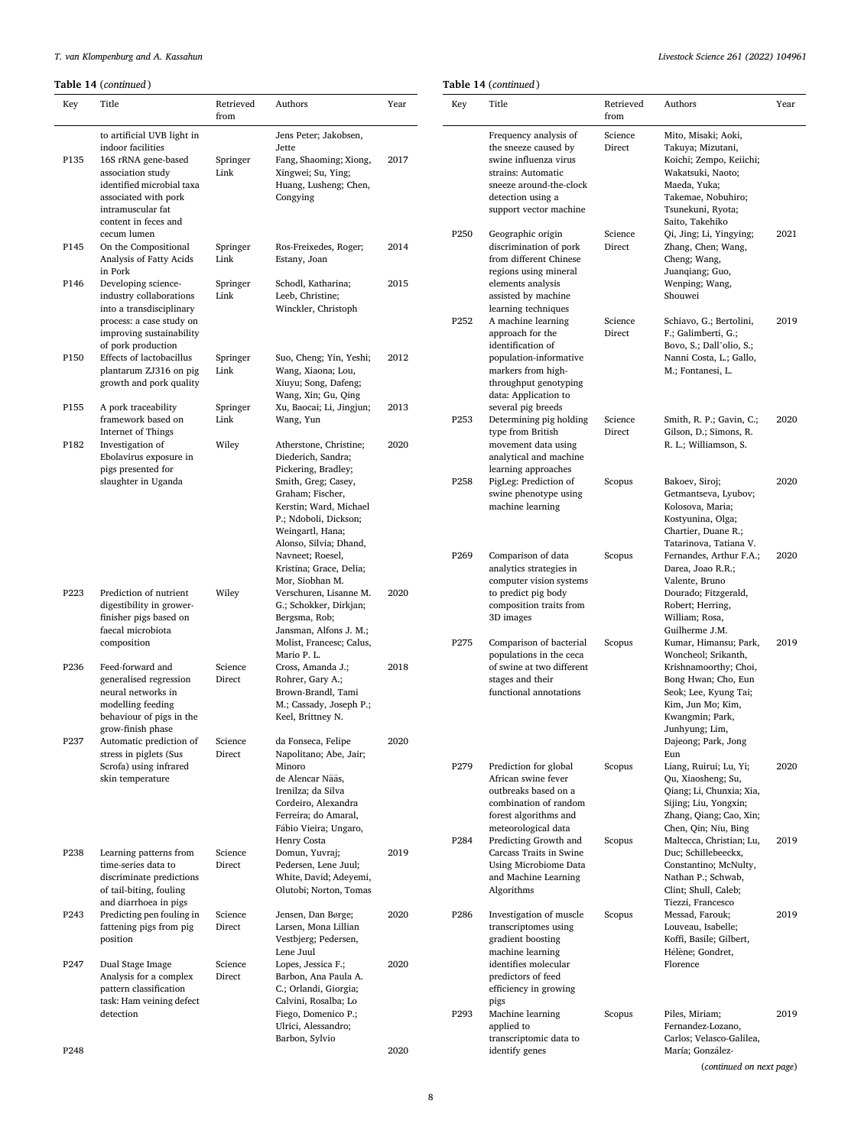**Table 14** (*continued* )

| Key              | Title                                                | Retrieved        | Authors                                          | Year | Key              | Title          |
|------------------|------------------------------------------------------|------------------|--------------------------------------------------|------|------------------|----------------|
|                  |                                                      | from             |                                                  |      |                  |                |
|                  | to artificial UVB light in                           |                  | Jens Peter; Jakobsen,                            |      |                  | Freq           |
|                  | indoor facilities                                    |                  | Jette                                            |      |                  | the s          |
| P135             | 16S rRNA gene-based<br>association study             | Springer<br>Link | Fang, Shaoming; Xiong,<br>Xingwei; Su, Ying;     | 2017 |                  | swin<br>strai  |
|                  | identified microbial taxa                            |                  | Huang, Lusheng; Chen,                            |      |                  | sneez          |
|                  | associated with pork                                 |                  | Congying                                         |      |                  | deted          |
|                  | intramuscular fat<br>content in feces and            |                  |                                                  |      |                  | supp           |
|                  | cecum lumen                                          |                  |                                                  |      | P <sub>250</sub> | Geog           |
| P145             | On the Compositional                                 | Springer         | Ros-Freixedes, Roger;                            | 2014 |                  | discr          |
|                  | Analysis of Fatty Acids                              | Link             | Estany, Joan                                     |      |                  | from           |
| P146             | in Pork<br>Developing science-                       | Springer         | Schodl, Katharina;                               | 2015 |                  | regio<br>elem  |
|                  | industry collaborations                              | Link             | Leeb, Christine;                                 |      |                  | assist         |
|                  | into a transdisciplinary                             |                  | Winckler, Christoph                              |      |                  | learn          |
|                  | process: a case study on<br>improving sustainability |                  |                                                  |      | P <sub>252</sub> | A ma           |
|                  | of pork production                                   |                  |                                                  |      |                  | appro<br>ident |
| P150             | Effects of lactobacillus                             | Springer         | Suo, Cheng; Yin, Yeshi;                          | 2012 |                  | popu           |
|                  | plantarum ZJ316 on pig                               | Link             | Wang, Xiaona; Lou,                               |      |                  | mark           |
|                  | growth and pork quality                              |                  | Xiuyu; Song, Dafeng;<br>Wang, Xin; Gu, Qing      |      |                  | throu<br>data: |
| P155             | A pork traceability                                  | Springer         | Xu, Baocai; Li, Jingjun;                         | 2013 |                  | sever          |
|                  | framework based on                                   | Link             | Wang, Yun                                        |      | P253             | Deter          |
| P182             | Internet of Things                                   |                  | Atherstone, Christine;                           | 2020 |                  | type           |
|                  | Investigation of<br>Ebolavirus exposure in           | Wiley            | Diederich, Sandra;                               |      |                  | move<br>analy  |
|                  | pigs presented for                                   |                  | Pickering, Bradley;                              |      |                  | learn          |
|                  | slaughter in Uganda                                  |                  | Smith, Greg; Casey,                              |      | P <sub>258</sub> | PigLe          |
|                  |                                                      |                  | Graham; Fischer,<br>Kerstin; Ward, Michael       |      |                  | swin<br>mach   |
|                  |                                                      |                  | P.; Ndoboli, Dickson;                            |      |                  |                |
|                  |                                                      |                  | Weingartl, Hana;                                 |      |                  |                |
|                  |                                                      |                  | Alonso, Silvia; Dhand,                           |      | P <sub>269</sub> |                |
|                  |                                                      |                  | Navneet; Roesel,<br>Kristina; Grace, Delia;      |      |                  | Com<br>analy   |
|                  |                                                      |                  | Mor, Siobhan M.                                  |      |                  | comp           |
| P223             | Prediction of nutrient                               | Wiley            | Verschuren, Lisanne M.                           | 2020 |                  | to pr          |
|                  | digestibility in grower-<br>finisher pigs based on   |                  | G.; Schokker, Dirkjan;<br>Bergsma, Rob;          |      |                  | comp<br>3D ir  |
|                  | faecal microbiota                                    |                  | Jansman, Alfons J. M.;                           |      |                  |                |
|                  | composition                                          |                  | Molist, Francesc; Calus,                         |      | P275             | Com            |
| P236             | Feed-forward and                                     | Science          | Mario P. L.<br>Cross, Amanda J.;                 | 2018 |                  | popu<br>of sw  |
|                  | generalised regression                               | Direct           | Rohrer, Gary A.;                                 |      |                  | stage          |
|                  | neural networks in                                   |                  | Brown-Brandl, Tami                               |      |                  | funct          |
|                  | modelling feeding                                    |                  | M.; Cassady, Joseph P.;                          |      |                  |                |
|                  | behaviour of pigs in the<br>grow-finish phase        |                  | Keel, Brittney N.                                |      |                  |                |
| P237             | Automatic prediction of                              | Science          | da Fonseca, Felipe                               | 2020 |                  |                |
|                  | stress in piglets (Sus                               | Direct           | Napolitano; Abe, Jair;                           |      |                  |                |
|                  | Scrofa) using infrared<br>skin temperature           |                  | Minoro<br>de Alencar Nääs,                       |      | P279             | Predi<br>Afric |
|                  |                                                      |                  | Irenilza; da Silva                               |      |                  | outb           |
|                  |                                                      |                  | Cordeiro, Alexandra                              |      |                  | coml           |
|                  |                                                      |                  | Ferreira; do Amaral,                             |      |                  | fores          |
|                  |                                                      |                  | Fábio Vieira; Ungaro,<br>Henry Costa             |      | P284             | mete<br>Predi  |
| P238             | Learning patterns from                               | Science          | Domun, Yuvraj;                                   | 2019 |                  | Carca          |
|                  | time-series data to                                  | Direct           | Pedersen, Lene Juul;                             |      |                  | Usin           |
|                  | discriminate predictions<br>of tail-biting, fouling  |                  | White, David; Adeyemi,<br>Olutobi; Norton, Tomas |      |                  | and l<br>Algo: |
|                  | and diarrhoea in pigs                                |                  |                                                  |      |                  |                |
| P243             | Predicting pen fouling in                            | Science          | Jensen, Dan Børge;                               | 2020 | P286             | Inves          |
|                  | fattening pigs from pig                              | Direct           | Larsen, Mona Lillian                             |      |                  | trans          |
|                  | position                                             |                  | Vestbjerg; Pedersen,<br>Lene Juul                |      |                  | gradi<br>mach  |
| P <sub>247</sub> | Dual Stage Image                                     | Science          | Lopes, Jessica F.;                               | 2020 |                  | ident          |
|                  | Analysis for a complex                               | Direct           | Barbon, Ana Paula A.                             |      |                  | predi          |
|                  | pattern classification<br>task: Ham veining defect   |                  | C.; Orlandi, Giorgia;<br>Calvini, Rosalba; Lo    |      |                  | effici<br>pigs |
|                  | detection                                            |                  | Fiego, Domenico P.;                              |      | P293             | Macl           |
|                  |                                                      |                  | Ulrici, Alessandro;                              |      |                  | appli          |
|                  |                                                      |                  | Barbon, Sylvio                                   |      |                  | trans          |
| P <sub>248</sub> |                                                      |                  |                                                  | 2020 |                  | ident          |

# *Livestock Science 261 (2022) 104961*

| Key              | Title                                                                                                                                                                              | Retrieved<br>from | Authors                                                                                                                                                                                                       | Year |
|------------------|------------------------------------------------------------------------------------------------------------------------------------------------------------------------------------|-------------------|---------------------------------------------------------------------------------------------------------------------------------------------------------------------------------------------------------------|------|
|                  | Frequency analysis of<br>the sneeze caused by<br>swine influenza virus<br>strains: Automatic<br>sneeze around-the-clock<br>detection using a<br>support vector machine             | Science<br>Direct | Mito, Misaki; Aoki,<br>Takuya; Mizutani,<br>Koichi; Zempo, Keiichi;<br>Wakatsuki, Naoto;<br>Maeda, Yuka;<br>Takemae, Nobuhiro;<br>Tsunekuni, Ryota;<br>Saito, Takehiko                                        |      |
| P <sub>250</sub> | Geographic origin<br>discrimination of pork<br>from different Chinese<br>regions using mineral<br>elements analysis<br>assisted by machine<br>learning techniques                  | Science<br>Direct | Qi, Jing; Li, Yingying;<br>Zhang, Chen; Wang,<br>Cheng; Wang,<br>Juanqiang; Guo,<br>Wenping; Wang,<br>Shouwei                                                                                                 | 2021 |
| P252             | A machine learning<br>approach for the<br>identification of<br>population-informative<br>markers from high-<br>throughput genotyping<br>data: Application to<br>several pig breeds | Science<br>Direct | Schiavo, G.; Bertolini,<br>F.; Galimberti, G.;<br>Bovo, S.; Dall'olio, S.;<br>Nanni Costa, L.; Gallo,<br>M.; Fontanesi, L.                                                                                    | 2019 |
| P253             | Determining pig holding<br>type from British<br>movement data using<br>analytical and machine<br>learning approaches                                                               | Science<br>Direct | Smith, R. P.; Gavin, C.;<br>Gilson, D.; Simons, R.<br>R. L.; Williamson, S.                                                                                                                                   | 2020 |
| P <sub>258</sub> | PigLeg: Prediction of<br>swine phenotype using<br>machine learning                                                                                                                 | Scopus            | Bakoev, Siroj;<br>Getmantseva, Lyubov;<br>Kolosova, Maria;<br>Kostyunina, Olga;<br>Chartier, Duane R.;<br>Tatarinova, Tatiana V.                                                                              | 2020 |
| P <sub>269</sub> | Comparison of data<br>analytics strategies in<br>computer vision systems<br>to predict pig body<br>composition traits from<br>3D images                                            | Scopus            | Fernandes, Arthur F.A.;<br>Darea, Joao R.R.;<br>Valente, Bruno<br>Dourado; Fitzgerald,<br>Robert; Herring,<br>William; Rosa,<br>Guilherme J.M.                                                                | 2020 |
| P275             | Comparison of bacterial<br>populations in the ceca<br>of swine at two different<br>stages and their<br>functional annotations                                                      | Scopus            | Kumar, Himansu; Park,<br>Woncheol; Srikanth,<br>Krishnamoorthy; Choi,<br>Bong Hwan; Cho, Eun<br>Seok; Lee, Kyung Tai;<br>Kim, Jun Mo; Kim,<br>Kwangmin; Park,<br>Junnyung; Lim,<br>Dajeong; Park, Jong<br>Eun | 2019 |
| P279             | Prediction for global<br>African swine fever<br>outbreaks based on a<br>combination of random<br>forest algorithms and<br>meteorological data                                      | Scopus            | Liang, Ruirui; Lu, Yi;<br>Qu, Xiaosheng; Su,<br>Qiang; Li, Chunxia; Xia,<br>Sijing; Liu, Yongxin;<br>Zhang, Qiang; Cao, Xin;<br>Chen, Qin; Niu, Bing                                                          | 2020 |
| P <sub>284</sub> | Predicting Growth and<br>Carcass Traits in Swine<br>Using Microbiome Data<br>and Machine Learning<br>Algorithms                                                                    | Scopus            | Maltecca, Christian; Lu,<br>Duc; Schillebeeckx,<br>Constantino; McNulty,<br>Nathan P.; Schwab,<br>Clint; Shull, Caleb;<br>Tiezzi, Francesco                                                                   | 2019 |
| P <sub>286</sub> | Investigation of muscle<br>transcriptomes using<br>gradient boosting<br>machine learning<br>identifies molecular<br>predictors of feed<br>efficiency in growing                    | Scopus            | Messad, Farouk;<br>Louveau, Isabelle;<br>Koffi, Basile; Gilbert,<br>Hélène; Gondret,<br>Florence                                                                                                              | 2019 |
| P293             | pigs<br>Machine learning<br>applied to<br>transcriptomic data to<br>identify genes                                                                                                 | Scopus            | Piles, Miriam;<br>Fernandez-Lozano,<br>Carlos; Velasco-Galilea,<br>María; González-                                                                                                                           | 2019 |

(*continued on next page*)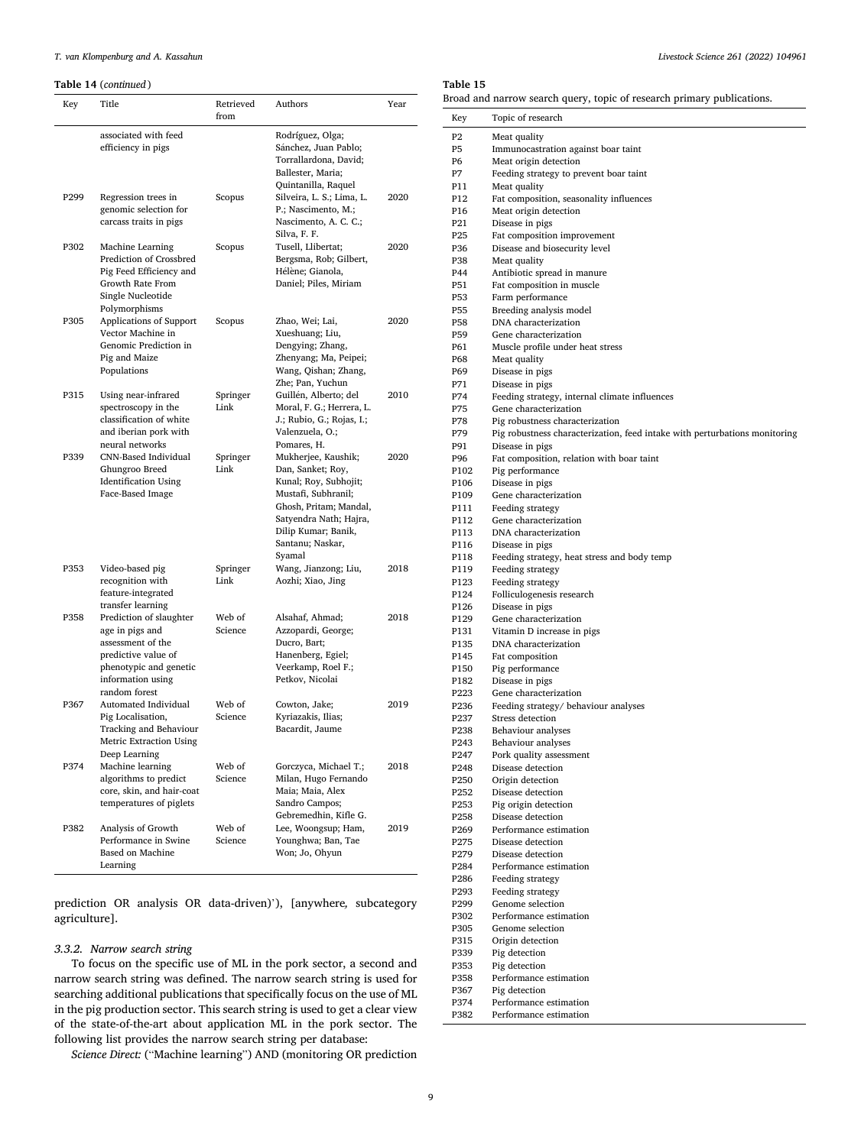<span id="page-8-0"></span>**Table 14** (*continued* )

| Key              | Title                                                                                                                                                  | Retrieved<br>from | Authors                                                                                                                                                                                           | Year |
|------------------|--------------------------------------------------------------------------------------------------------------------------------------------------------|-------------------|---------------------------------------------------------------------------------------------------------------------------------------------------------------------------------------------------|------|
|                  | associated with feed<br>efficiency in pigs                                                                                                             |                   | Rodríguez, Olga;<br>Sánchez, Juan Pablo;<br>Torrallardona, David;<br>Ballester, Maria;<br>Quintanilla, Raquel                                                                                     |      |
| P <sub>299</sub> | Regression trees in<br>genomic selection for<br>carcass traits in pigs                                                                                 | Scopus            | Silveira, L. S.; Lima, L.<br>P.; Nascimento, M.;<br>Nascimento, A. C. C.;<br>Silva, F. F.                                                                                                         | 2020 |
| P302             | <b>Machine Learning</b><br>Prediction of Crossbred<br>Pig Feed Efficiency and<br>Growth Rate From<br>Single Nucleotide<br>Polymorphisms                | Scopus            | Tusell, Llibertat;<br>Bergsma, Rob; Gilbert,<br>Hélène; Gianola,<br>Daniel; Piles, Miriam                                                                                                         | 2020 |
| P305             | Applications of Support<br>Vector Machine in<br>Genomic Prediction in<br>Pig and Maize<br>Populations                                                  | Scopus            | Zhao, Wei; Lai,<br>Xueshuang; Liu,<br>Dengying; Zhang,<br>Zhenyang; Ma, Peipei;<br>Wang, Qishan; Zhang,<br>Zhe; Pan, Yuchun                                                                       | 2020 |
| P315             | Using near-infrared<br>spectroscopy in the<br>classification of white<br>and iberian pork with<br>neural networks                                      | Springer<br>Link  | Guillén, Alberto; del<br>Moral, F. G.; Herrera, L.<br>J.; Rubio, G.; Rojas, I.;<br>Valenzuela, O.;<br>Pomares, H.                                                                                 | 2010 |
| P339             | CNN-Based Individual<br>Ghungroo Breed<br><b>Identification Using</b><br>Face-Based Image                                                              | Springer<br>Link  | Mukherjee, Kaushik;<br>Dan, Sanket; Roy,<br>Kunal; Roy, Subhojit;<br>Mustafi, Subhranil;<br>Ghosh, Pritam; Mandal,<br>Satyendra Nath; Hajra,<br>Dilip Kumar; Banik,<br>Santanu; Naskar,<br>Syamal | 2020 |
| P353             | Video-based pig<br>recognition with<br>feature-integrated<br>transfer learning                                                                         | Springer<br>Link  | Wang, Jianzong; Liu,<br>Aozhi; Xiao, Jing                                                                                                                                                         | 2018 |
| P358             | Prediction of slaughter<br>age in pigs and<br>assessment of the<br>predictive value of<br>phenotypic and genetic<br>information using<br>random forest | Web of<br>Science | Alsahaf, Ahmad;<br>Azzopardi, George;<br>Ducro, Bart;<br>Hanenberg, Egiel;<br>Veerkamp, Roel F.;<br>Petkov, Nicolai                                                                               | 2018 |
| P367             | Automated Individual<br>Pig Localisation,<br>Tracking and Behaviour<br>Metric Extraction Using<br>Deep Learning                                        | Web of<br>Science | Cowton, Jake;<br>Kyriazakis, Ilias;<br>Bacardit, Jaume                                                                                                                                            | 2019 |
| P374             | Machine learning<br>algorithms to predict<br>core, skin, and hair-coat<br>temperatures of piglets                                                      | Web of<br>Science | Gorczyca, Michael T.;<br>Milan, Hugo Fernando<br>Maia; Maia, Alex<br>Sandro Campos;<br>Gebremedhin, Kifle G.                                                                                      | 2018 |
| P382             | Analysis of Growth<br>Performance in Swine<br>Based on Machine<br>Learning                                                                             | Web of<br>Science | Lee, Woongsup; Ham,<br>Younghwa; Ban, Tae<br>Won; Jo, Ohyun                                                                                                                                       | 2019 |

prediction OR analysis OR data-driven)'), [anywhere*,* subcategory agriculture].

# *3.3.2. Narrow search string*

To focus on the specific use of ML in the pork sector, a second and narrow search string was defined. The narrow search string is used for searching additional publications that specifically focus on the use of ML in the pig production sector. This search string is used to get a clear view of the state-of-the-art about application ML in the pork sector. The following list provides the narrow search string per database:

*Science Direct:* ("Machine learning") AND (monitoring OR prediction

## **Table 15**

Broad and narrow search query, topic of research primary publications.

| Key                                  | Topic of research                                                                                             |
|--------------------------------------|---------------------------------------------------------------------------------------------------------------|
| P <sub>2</sub>                       | Meat quality                                                                                                  |
| P <sub>5</sub>                       | Immunocastration against boar taint                                                                           |
| Р6                                   | Meat origin detection                                                                                         |
| <b>P7</b><br>P11                     | Feeding strategy to prevent boar taint                                                                        |
| P12                                  | Meat quality<br>Fat composition, seasonality influences                                                       |
| P16                                  | Meat origin detection                                                                                         |
| P <sub>21</sub>                      | Disease in pigs                                                                                               |
| P <sub>25</sub>                      | Fat composition improvement                                                                                   |
| P36                                  | Disease and biosecurity level                                                                                 |
| P38<br>P44                           | Meat quality                                                                                                  |
| P51                                  | Antibiotic spread in manure<br>Fat composition in muscle                                                      |
| P53                                  | Farm performance                                                                                              |
| P55                                  | Breeding analysis model                                                                                       |
| <b>P58</b>                           | DNA characterization                                                                                          |
| P59                                  | Gene characterization                                                                                         |
| P61<br>P68                           | Muscle profile under heat stress<br>Meat quality                                                              |
| P69                                  | Disease in pigs                                                                                               |
| P71                                  | Disease in pigs                                                                                               |
| P74                                  | Feeding strategy, internal climate influences                                                                 |
| P75                                  | Gene characterization                                                                                         |
| P78<br>P79                           | Pig robustness characterization<br>Pig robustness characterization, feed intake with perturbations monitoring |
| P91                                  | Disease in pigs                                                                                               |
| P96                                  | Fat composition, relation with boar taint                                                                     |
| P102                                 | Pig performance                                                                                               |
| P <sub>106</sub>                     | Disease in pigs                                                                                               |
| P109<br>P111                         | Gene characterization                                                                                         |
| P112                                 | Feeding strategy<br>Gene characterization                                                                     |
| P113                                 | DNA characterization                                                                                          |
| P116                                 | Disease in pigs                                                                                               |
| P118                                 | Feeding strategy, heat stress and body temp                                                                   |
| P119                                 | Feeding strategy                                                                                              |
| P123<br>P124                         | Feeding strategy<br>Folliculogenesis research                                                                 |
| P126                                 | Disease in pigs                                                                                               |
| P129                                 | Gene characterization                                                                                         |
| P131                                 | Vitamin D increase in pigs                                                                                    |
| P135                                 | DNA characterization                                                                                          |
| P145<br>P150                         | Fat composition<br>Pig performance                                                                            |
| P182                                 | Disease in pigs                                                                                               |
| P223                                 | Gene characterization                                                                                         |
| P236                                 | Feeding strategy/behaviour analyses                                                                           |
| P237                                 | Stress detection                                                                                              |
| P238<br>P243                         | Behaviour analyses<br>Behaviour analyses                                                                      |
| P247                                 | Pork quality assessment                                                                                       |
| P248                                 | Disease detection                                                                                             |
| P250                                 | Origin detection                                                                                              |
| P252                                 | Disease detection                                                                                             |
| P253                                 | Pig origin detection                                                                                          |
| P <sub>258</sub><br>P <sub>269</sub> | Disease detection<br>Performance estimation                                                                   |
| P275                                 | Disease detection                                                                                             |
| P279                                 | Disease detection                                                                                             |
| P284                                 | Performance estimation                                                                                        |
| P <sub>286</sub>                     | Feeding strategy                                                                                              |
| P293<br>P <sub>299</sub>             | Feeding strategy<br>Genome selection                                                                          |
| P302                                 | Performance estimation                                                                                        |
| P305                                 | Genome selection                                                                                              |
| P315                                 | Origin detection                                                                                              |
| P339                                 | Pig detection                                                                                                 |
| P353                                 | Pig detection                                                                                                 |
| P358<br>P367                         | Performance estimation<br>Pig detection                                                                       |
| P374                                 | Performance estimation                                                                                        |
| P382                                 | Performance estimation                                                                                        |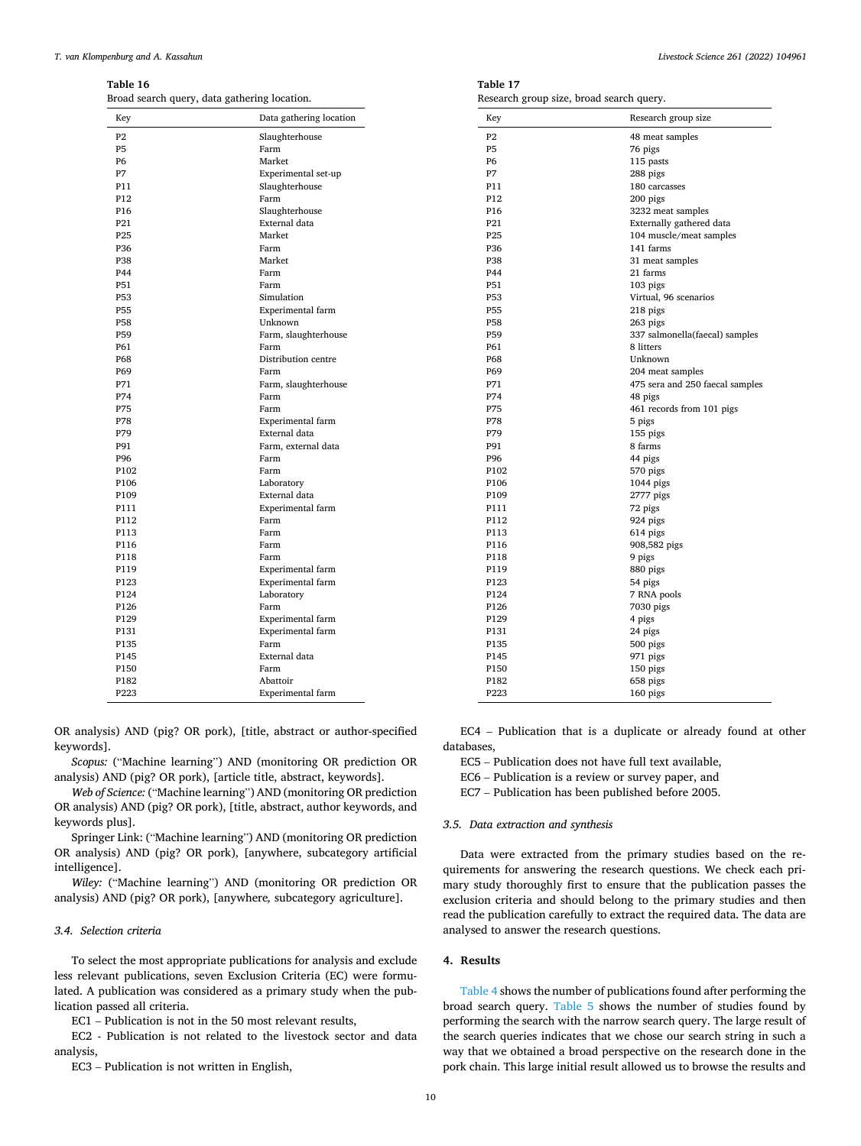<span id="page-9-0"></span>**Table 16**  Broad search query, data gathering location.

| Key             | Data gathering location | Key             |
|-----------------|-------------------------|-----------------|
| P <sub>2</sub>  | Slaughterhouse          | P <sub>2</sub>  |
| <b>P5</b>       | Farm                    | P <sub>5</sub>  |
| P6              | Market                  | <b>P6</b>       |
| P7              | Experimental set-up     | P7              |
| P11             | Slaughterhouse          | P11             |
| P12             | Farm                    | P <sub>12</sub> |
| P <sub>16</sub> | Slaughterhouse          | P <sub>16</sub> |
| P21             | External data           | P21             |
| P <sub>25</sub> | Market                  | P <sub>25</sub> |
| P36             | Farm                    | P36             |
| P38             | Market                  | P38             |
| P44             | Farm                    | P44             |
| P51             | Farm                    | P51             |
| P53             | Simulation              | P53             |
| <b>P55</b>      | Experimental farm       | <b>P55</b>      |
| <b>P58</b>      | Unknown                 | <b>P58</b>      |
| P59             | Farm, slaughterhouse    | P59             |
| P61             | Farm                    | P61             |
| P68             | Distribution centre     | P68             |
| P69             | Farm                    | P69             |
| P71             | Farm, slaughterhouse    | P71             |
| P74             | Farm                    | P74             |
| P75             | Farm                    | P75             |
| P78             | Experimental farm       | P78             |
| P79             | External data           | P79             |
| P91             | Farm, external data     | P91             |
| P96             | Farm                    | P96             |
| P102            | Farm                    | P102            |
| P106            | Laboratory              | P106            |
| P109            | External data           | P109            |
| P111            | Experimental farm       | P111            |
| P112            | Farm                    | P112            |
| P113            | Farm                    | P113            |
| P116            | Farm                    | P116            |
| P118            | Farm                    | P118            |
| P119            | Experimental farm       | P119            |
| P123            | Experimental farm       | P123            |
| P124            | Laboratory              | P124            |
| P126            | Farm                    | P126            |
| P129            | Experimental farm       | P129            |
| P131            | Experimental farm       | P131            |
| P135            | Farm                    | P135            |
| P145            | External data           | P145            |
| P150            | Farm                    | P150            |
| P182            | Abattoir                | P182            |
| P223            | Experimental farm       | P223            |
|                 |                         |                 |

OR analysis) AND (pig? OR pork), [title, abstract or author-specified keywords].

*Scopus:* ("Machine learning") AND (monitoring OR prediction OR analysis) AND (pig? OR pork), [article title, abstract, keywords].

*Web of Science:* ("Machine learning") AND (monitoring OR prediction OR analysis) AND (pig? OR pork), [title, abstract, author keywords, and keywords plus].

Springer Link: ("Machine learning") AND (monitoring OR prediction OR analysis) AND (pig? OR pork), [anywhere, subcategory artificial intelligence].

*Wiley:* ("Machine learning") AND (monitoring OR prediction OR analysis) AND (pig? OR pork), [anywhere*,* subcategory agriculture].

#### *3.4. Selection criteria*

To select the most appropriate publications for analysis and exclude less relevant publications, seven Exclusion Criteria (EC) were formulated. A publication was considered as a primary study when the publication passed all criteria.

EC1 – Publication is not in the 50 most relevant results,

EC2 - Publication is not related to the livestock sector and data analysis,

EC3 – Publication is not written in English,

| Table 17                                 |  |
|------------------------------------------|--|
| Research group size, broad search query. |  |

| Key             | Research group size             |
|-----------------|---------------------------------|
| P <sub>2</sub>  | 48 meat samples                 |
| P <sub>5</sub>  | 76 pigs                         |
| P <sub>6</sub>  | 115 pasts                       |
| P7              | 288 pigs                        |
| P11             | 180 carcasses                   |
| P12             | 200 pigs                        |
| P <sub>16</sub> | 3232 meat samples               |
| P <sub>21</sub> | Externally gathered data        |
| P <sub>25</sub> | 104 muscle/meat samples         |
| P <sub>36</sub> | 141 farms                       |
| <b>P38</b>      | 31 meat samples                 |
| P44             | 21 farms                        |
| P51             | 103 pigs                        |
| <b>P53</b>      | Virtual, 96 scenarios           |
| P <sub>55</sub> | 218 pigs                        |
| <b>P58</b>      | 263 pigs                        |
| P59             | 337 salmonella(faecal) samples  |
| P61             | 8 litters                       |
| P68             | Unknown                         |
| P <sub>69</sub> | 204 meat samples                |
| P71             | 475 sera and 250 faecal samples |
| P74             | 48 pigs                         |
| <b>P75</b>      | 461 records from 101 pigs       |
| P78             | 5 pigs                          |
| P79             | 155 pigs                        |
| P91             | 8 farms                         |
| P96             | 44 pigs                         |
| P102            | 570 pigs                        |
| P106            | $1044$ pigs                     |
| P109            | 2777 pigs                       |
| P111            | 72 pigs                         |
| P112            | 924 pigs                        |
| P113            | 614 pigs                        |
| P116            | 908,582 pigs                    |
| P118            | 9 pigs                          |
| P119            | 880 pigs                        |
| P123            | 54 pigs                         |
| P124            | 7 RNA pools                     |
| P126            | 7030 pigs                       |
| P129            | 4 pigs                          |
| P131            | 24 pigs                         |
| P135            | 500 pigs                        |
| P145            | 971 pigs                        |
| P150            | 150 pigs                        |
| P182            | 658 pigs                        |
| P223            | 160 pigs                        |

EC4 – Publication that is a duplicate or already found at other databases,

EC5 – Publication does not have full text available,

EC6 – Publication is a review or survey paper, and

EC7 – Publication has been published before 2005.

#### *3.5. Data extraction and synthesis*

Data were extracted from the primary studies based on the requirements for answering the research questions. We check each primary study thoroughly first to ensure that the publication passes the exclusion criteria and should belong to the primary studies and then read the publication carefully to extract the required data. The data are analysed to answer the research questions.

## **4. Results**

[Table 4](#page-3-0) shows the number of publications found after performing the broad search query. [Table 5](#page-3-0) shows the number of studies found by performing the search with the narrow search query. The large result of the search queries indicates that we chose our search string in such a way that we obtained a broad perspective on the research done in the pork chain. This large initial result allowed us to browse the results and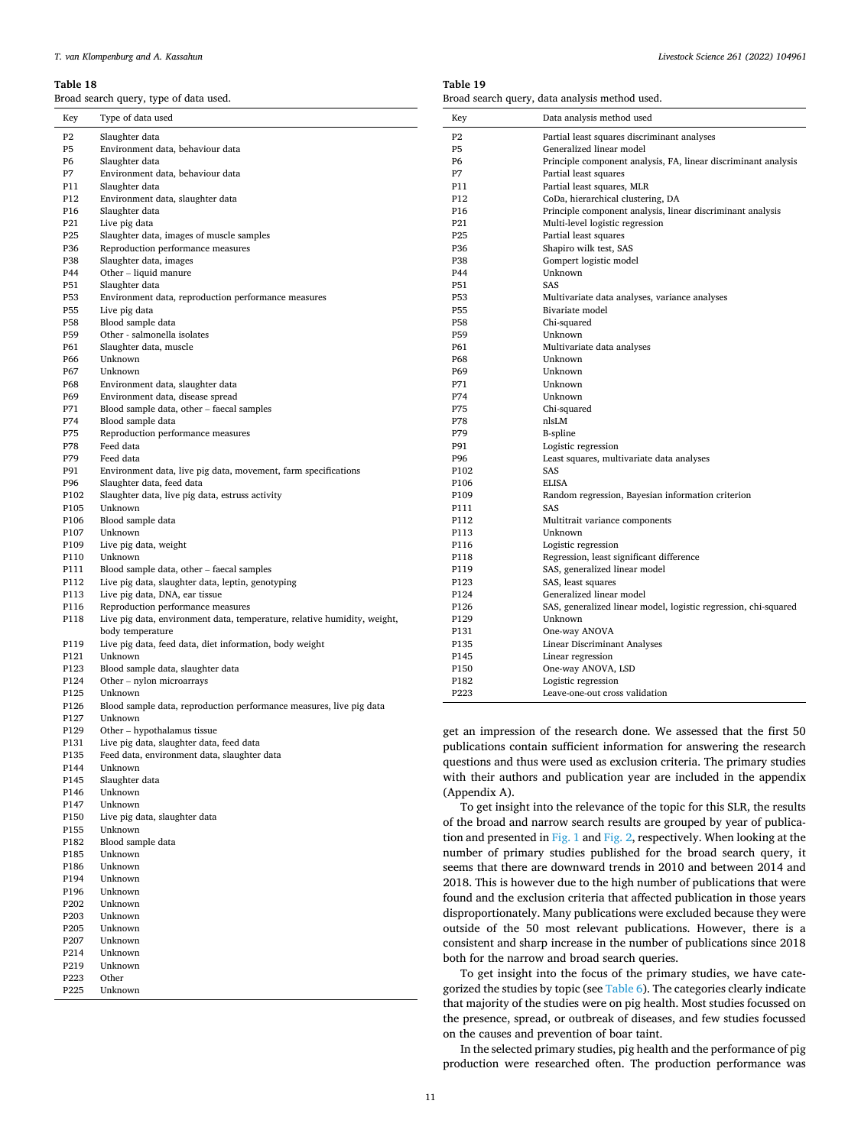P147 Unknown<br>P150 Live pig d

P223 Other<br>P225 Unkn Unknown

P150 Live pig data, slaughter data Unknown P182 Blood sample data P185 Unknown P186 Unknown Unknown P196 Unknown P202 Unknown Unknown P205 Unknown Unknown P214 Unknown<br>P219 Unknown **I**Inknown

<span id="page-10-0"></span>Broad search query, type of data used.

**Table 19**  Broad search query, data analysis method used.

| Key             | Type of data used                                                        | Key             | Data analysis method used                                               |
|-----------------|--------------------------------------------------------------------------|-----------------|-------------------------------------------------------------------------|
| P <sub>2</sub>  | Slaughter data                                                           | P <sub>2</sub>  | Partial least squares discriminant analyses                             |
| P5              | Environment data, behaviour data                                         | P <sub>5</sub>  | Generalized linear model                                                |
| P <sub>6</sub>  | Slaughter data                                                           | P6              | Principle component analysis, FA, linear discriminant analysis          |
| P7              | Environment data, behaviour data                                         | <b>P7</b>       | Partial least squares                                                   |
| P11             | Slaughter data                                                           | P11             | Partial least squares, MLR                                              |
| P12             | Environment data, slaughter data                                         | P <sub>12</sub> | CoDa, hierarchical clustering, DA                                       |
| P <sub>16</sub> | Slaughter data                                                           | P <sub>16</sub> | Principle component analysis, linear discriminant analysis              |
| P21             | Live pig data                                                            | P21             | Multi-level logistic regression                                         |
| P <sub>25</sub> | Slaughter data, images of muscle samples                                 | P <sub>25</sub> | Partial least squares                                                   |
| P36             | Reproduction performance measures                                        | P36             | Shapiro wilk test, SAS                                                  |
| P38             | Slaughter data, images                                                   | P38             | Gompert logistic model                                                  |
| P44             | Other – liquid manure                                                    | P44             | Unknown                                                                 |
| P51             | Slaughter data                                                           | <b>P51</b>      | SAS                                                                     |
| P53             | Environment data, reproduction performance measures                      | P53             | Multivariate data analyses, variance analyses                           |
| P55             | Live pig data                                                            | P55             | Bivariate model                                                         |
| <b>P58</b>      | Blood sample data                                                        | <b>P58</b>      | Chi-squared                                                             |
| P59             | Other - salmonella isolates                                              | P59             | Unknown                                                                 |
| P61             | Slaughter data, muscle                                                   | P61             | Multivariate data analyses                                              |
| P <sub>66</sub> | Unknown                                                                  | P68             | Unknown                                                                 |
| P67             | Unknown                                                                  | P69             | Unknown                                                                 |
| <b>P68</b>      | Environment data, slaughter data                                         | P71             | Unknown                                                                 |
| P69             | Environment data, disease spread                                         | P74             | Unknown                                                                 |
| P71             | Blood sample data, other – faecal samples                                | P75             | Chi-squared                                                             |
| P74             | Blood sample data                                                        | P78             | nlsLM                                                                   |
| P75             | Reproduction performance measures                                        | P79             | <b>B-spline</b>                                                         |
| P78             | Feed data                                                                | P91             | Logistic regression                                                     |
| P79             | Feed data                                                                | P96             | Least squares, multivariate data analyses                               |
| P91             | Environment data, live pig data, movement, farm specifications           | P102            | SAS                                                                     |
| P96             | Slaughter data, feed data                                                | P106            | <b>ELISA</b>                                                            |
| P102            | Slaughter data, live pig data, estruss activity                          | P109            | Random regression, Bayesian information criterion                       |
| P105            | Unknown                                                                  | P111            | SAS                                                                     |
| P106            | Blood sample data                                                        | P112            | Multitrait variance components                                          |
| P107            | Unknown                                                                  | P113            | Unknown                                                                 |
| P109            | Live pig data, weight                                                    | P116            | Logistic regression                                                     |
| P110            | Unknown                                                                  | P118            | Regression, least significant difference                                |
| P111            | Blood sample data, other - faecal samples                                | P119            | SAS, generalized linear model                                           |
| P112            | Live pig data, slaughter data, leptin, genotyping                        | P123            | SAS, least squares                                                      |
| P113            | Live pig data, DNA, ear tissue                                           | P124            | Generalized linear model                                                |
| P116            | Reproduction performance measures                                        | P126            | SAS, generalized linear model, logistic regression, chi-squared         |
| P118            | Live pig data, environment data, temperature, relative humidity, weight, | P129            | Unknown                                                                 |
|                 | body temperature                                                         | P131            | One-way ANOVA                                                           |
| P119            | Live pig data, feed data, diet information, body weight                  | P135            | Linear Discriminant Analyses                                            |
| P121            | Unknown                                                                  | P145            | Linear regression                                                       |
| P123            | Blood sample data, slaughter data                                        | P150            | One-way ANOVA, LSD                                                      |
| P124            | Other – nylon microarrays                                                | P182            | Logistic regression                                                     |
| P125            | Unknown                                                                  | P223            | Leave-one-out cross validation                                          |
| P126            | Blood sample data, reproduction performance measures, live pig data      |                 |                                                                         |
| P127            | Unknown                                                                  |                 |                                                                         |
| P129            | Other - hypothalamus tissue                                              |                 | get an impression of the research done. We assessed that the first 50   |
| P131            | Live pig data, slaughter data, feed data                                 |                 |                                                                         |
| P135            | Feed data, environment data, slaughter data                              |                 | publications contain sufficient information for answering the research  |
| P144            | Unknown                                                                  |                 | questions and thus were used as exclusion criteria. The primary studies |
| P145            | Slaughter data                                                           |                 | with their authors and publication year are included in the appendix    |
| <b>P146</b>     | <b>I</b> Inknown                                                         | (Annendiy A)    |                                                                         |

ering the research he primary studies d in the appendix (Appendix A). To get insight into the relevance of the topic for this SLR, the results of the broad and narrow search results are grouped by year of publica-

tion and presented in [Fig. 1](#page-3-0) and [Fig. 2](#page-3-0), respectively. When looking at the number of primary studies published for the broad search query, it seems that there are downward trends in 2010 and between 2014 and 2018. This is however due to the high number of publications that were found and the exclusion criteria that affected publication in those years disproportionately. Many publications were excluded because they were outside of the 50 most relevant publications. However, there is a consistent and sharp increase in the number of publications since 2018 both for the narrow and broad search queries.

To get insight into the focus of the primary studies, we have categorized the studies by topic (see [Table 6\)](#page-3-0). The categories clearly indicate that majority of the studies were on pig health. Most studies focussed on the presence, spread, or outbreak of diseases, and few studies focussed on the causes and prevention of boar taint.

In the selected primary studies, pig health and the performance of pig production were researched often. The production performance was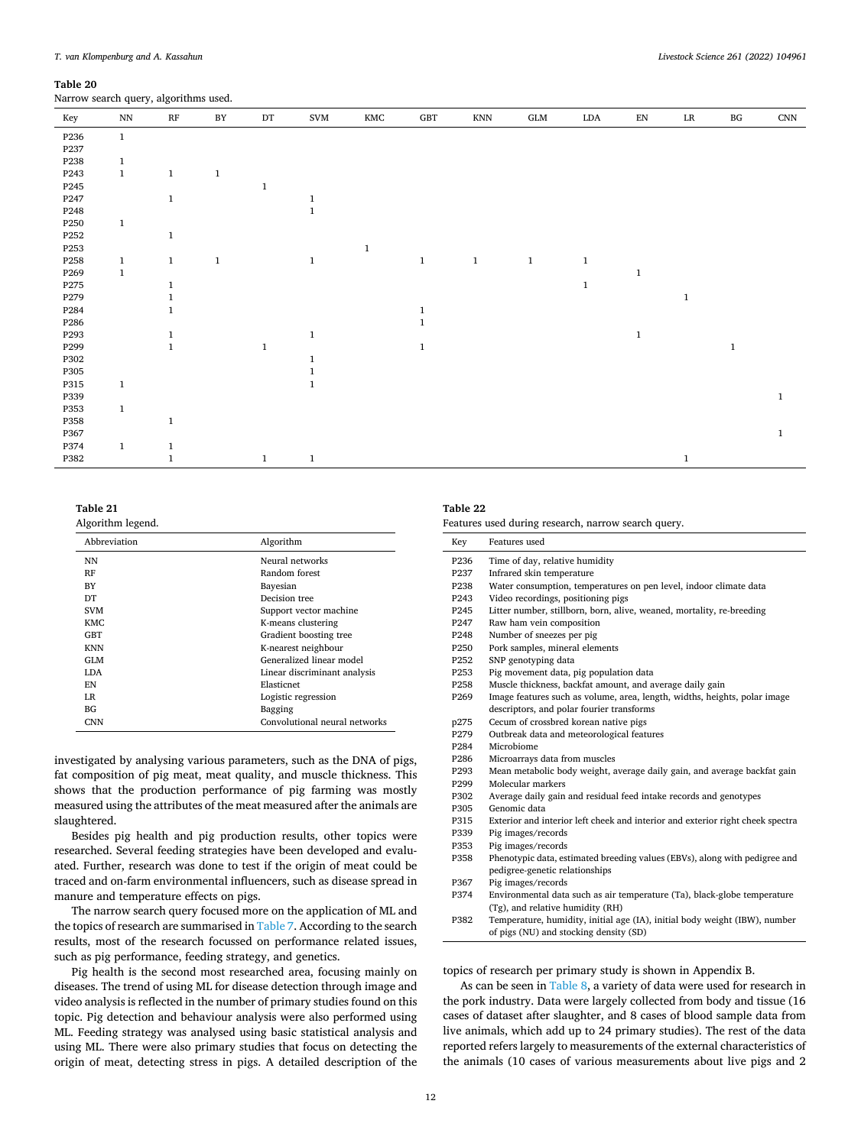<span id="page-11-0"></span>Narrow search query, algorithms used.

| Key              | $\mathbf{N} \mathbf{N}$ | $\mathbf{RF}$ | $\rm BY$     | $\mathop{\rm DT}\nolimits$ | SVM          | $\mathop{\rm KMC}\nolimits$ | $\operatorname{GBT}$ | <b>KNN</b>   | ${\rm GLM}$  | $\rm LDA$    | ${\rm EN}$   | $\rm LR$     | $\mathbf{B}\mathbf{G}$ | CNN          |
|------------------|-------------------------|---------------|--------------|----------------------------|--------------|-----------------------------|----------------------|--------------|--------------|--------------|--------------|--------------|------------------------|--------------|
| P236             | $\,1\,$                 |               |              |                            |              |                             |                      |              |              |              |              |              |                        |              |
| P237             |                         |               |              |                            |              |                             |                      |              |              |              |              |              |                        |              |
| P238             | $\mathbf{1}$            |               |              |                            |              |                             |                      |              |              |              |              |              |                        |              |
| P243             | $\,1\,$                 | $\mathbf{1}$  | $\mathbf{1}$ |                            |              |                             |                      |              |              |              |              |              |                        |              |
| P245             |                         |               |              | $\mathbf{1}$               |              |                             |                      |              |              |              |              |              |                        |              |
| P247             |                         | $\mathbf{1}$  |              |                            | $\mathbf{1}$ |                             |                      |              |              |              |              |              |                        |              |
| P248             |                         |               |              |                            | $\mathbf{1}$ |                             |                      |              |              |              |              |              |                        |              |
| P250             | $\mathbf{1}$            |               |              |                            |              |                             |                      |              |              |              |              |              |                        |              |
| P252             |                         | $1\,$         |              |                            |              |                             |                      |              |              |              |              |              |                        |              |
| P253             |                         |               |              |                            |              | $\mathbf 1$                 |                      |              |              |              |              |              |                        |              |
| P258             | $\mathbf{1}$            | $\mathbf{1}$  | $\mathbf{1}$ |                            | $\mathbf{1}$ |                             | $\,1$                | $\mathbf{1}$ | $\mathbf{1}$ | $\mathbf{1}$ |              |              |                        |              |
| P <sub>269</sub> | $\,1\,$                 |               |              |                            |              |                             |                      |              |              |              | $\mathbf 1$  |              |                        |              |
| P275             |                         | 1             |              |                            |              |                             |                      |              |              | $\mathbf{1}$ |              |              |                        |              |
| P279             |                         | $\mathbf{1}$  |              |                            |              |                             |                      |              |              |              |              | $\mathbf{1}$ |                        |              |
| P284             |                         | $\mathbf{1}$  |              |                            |              |                             | $\mathbf{1}$         |              |              |              |              |              |                        |              |
| P286             |                         |               |              |                            |              |                             | $\mathbf{1}$         |              |              |              |              |              |                        |              |
| P293             |                         | $\mathbf{1}$  |              |                            | $\mathbf{1}$ |                             |                      |              |              |              | $\mathbf{1}$ |              |                        |              |
| P299             |                         | $\mathbf{1}$  |              | $\,1$                      |              |                             | $\mathbf{1}$         |              |              |              |              |              | $\mathbf{1}$           |              |
| P302             |                         |               |              |                            | $\mathbf{1}$ |                             |                      |              |              |              |              |              |                        |              |
| P305             |                         |               |              |                            |              |                             |                      |              |              |              |              |              |                        |              |
| P315             | $\mathbf{1}$            |               |              |                            | $\mathbf{1}$ |                             |                      |              |              |              |              |              |                        |              |
| P339             |                         |               |              |                            |              |                             |                      |              |              |              |              |              |                        | $\mathbf{1}$ |
| P353             | $\mathbf{1}$            |               |              |                            |              |                             |                      |              |              |              |              |              |                        |              |
| P358             |                         | $\mathbf{1}$  |              |                            |              |                             |                      |              |              |              |              |              |                        |              |
| P367             |                         |               |              |                            |              |                             |                      |              |              |              |              |              |                        | $\mathbf 1$  |
| P374             | $\mathbf{1}$            | $\mathbf{1}$  |              |                            |              |                             |                      |              |              |              |              |              |                        |              |
| P382             |                         | $\mathbf{1}$  |              | $\mathbf{1}$               | $\,1$        |                             |                      |              |              |              |              | $\mathbf{1}$ |                        |              |

# **Table 21**

Algorithm legend.

| Algorithm                     |
|-------------------------------|
| Neural networks               |
| Random forest                 |
| Bayesian                      |
| Decision tree                 |
| Support vector machine        |
| K-means clustering            |
| Gradient boosting tree        |
| K-nearest neighbour           |
| Generalized linear model      |
| Linear discriminant analysis  |
| Elasticnet                    |
| Logistic regression           |
| Bagging                       |
| Convolutional neural networks |
|                               |

investigated by analysing various parameters, such as the DNA of pigs, fat composition of pig meat, meat quality, and muscle thickness. This shows that the production performance of pig farming was mostly measured using the attributes of the meat measured after the animals are slaughtered.

Besides pig health and pig production results, other topics were researched. Several feeding strategies have been developed and evaluated. Further, research was done to test if the origin of meat could be traced and on-farm environmental influencers, such as disease spread in manure and temperature effects on pigs.

The narrow search query focused more on the application of ML and the topics of research are summarised in [Table 7](#page-4-0). According to the search results, most of the research focussed on performance related issues, such as pig performance, feeding strategy, and genetics.

Pig health is the second most researched area, focusing mainly on diseases. The trend of using ML for disease detection through image and video analysis is reflected in the number of primary studies found on this topic. Pig detection and behaviour analysis were also performed using ML. Feeding strategy was analysed using basic statistical analysis and using ML. There were also primary studies that focus on detecting the origin of meat, detecting stress in pigs. A detailed description of the

# **Table 22**

| Features used during research, narrow search query. |  |  |  |  |  |
|-----------------------------------------------------|--|--|--|--|--|
|-----------------------------------------------------|--|--|--|--|--|

| Key              | Features used                                                                  |
|------------------|--------------------------------------------------------------------------------|
| P <sub>236</sub> | Time of day, relative humidity                                                 |
| P237             | Infrared skin temperature                                                      |
| P238             | Water consumption, temperatures on pen level, indoor climate data              |
| P243             | Video recordings, positioning pigs                                             |
| P245             | Litter number, stillborn, born, alive, weaned, mortality, re-breeding          |
| P247             | Raw ham vein composition                                                       |
| P248             | Number of sneezes per pig                                                      |
| P <sub>250</sub> | Pork samples, mineral elements                                                 |
| P252             | SNP genotyping data                                                            |
| P253             | Pig movement data, pig population data                                         |
| P258             | Muscle thickness, backfat amount, and average daily gain                       |
| P <sub>269</sub> | Image features such as volume, area, length, widths, heights, polar image      |
|                  | descriptors, and polar fourier transforms                                      |
| p275             | Cecum of crossbred korean native pigs                                          |
| P279             | Outbreak data and meteorological features                                      |
| P284             | Microbiome                                                                     |
| P286             | Microarrays data from muscles                                                  |
| P293             | Mean metabolic body weight, average daily gain, and average backfat gain       |
| P299             | Molecular markers                                                              |
| P302             | Average daily gain and residual feed intake records and genotypes              |
| P305             | Genomic data                                                                   |
| P315             | Exterior and interior left cheek and interior and exterior right cheek spectra |
| P339             | Pig images/records                                                             |
| P353             | Pig images/records                                                             |
| P358             | Phenotypic data, estimated breeding values (EBVs), along with pedigree and     |
|                  | pedigree-genetic relationships                                                 |
| P367             | Pig images/records                                                             |
| P374             | Environmental data such as air temperature (Ta), black-globe temperature       |
|                  | (Tg), and relative humidity (RH)                                               |
| P382             | Temperature, humidity, initial age (IA), initial body weight (IBW), number     |
|                  | of pigs (NU) and stocking density (SD)                                         |

topics of research per primary study is shown in Appendix B.

As can be seen in [Table 8](#page-4-0), a variety of data were used for research in the pork industry. Data were largely collected from body and tissue (16 cases of dataset after slaughter, and 8 cases of blood sample data from live animals, which add up to 24 primary studies). The rest of the data reported refers largely to measurements of the external characteristics of the animals (10 cases of various measurements about live pigs and 2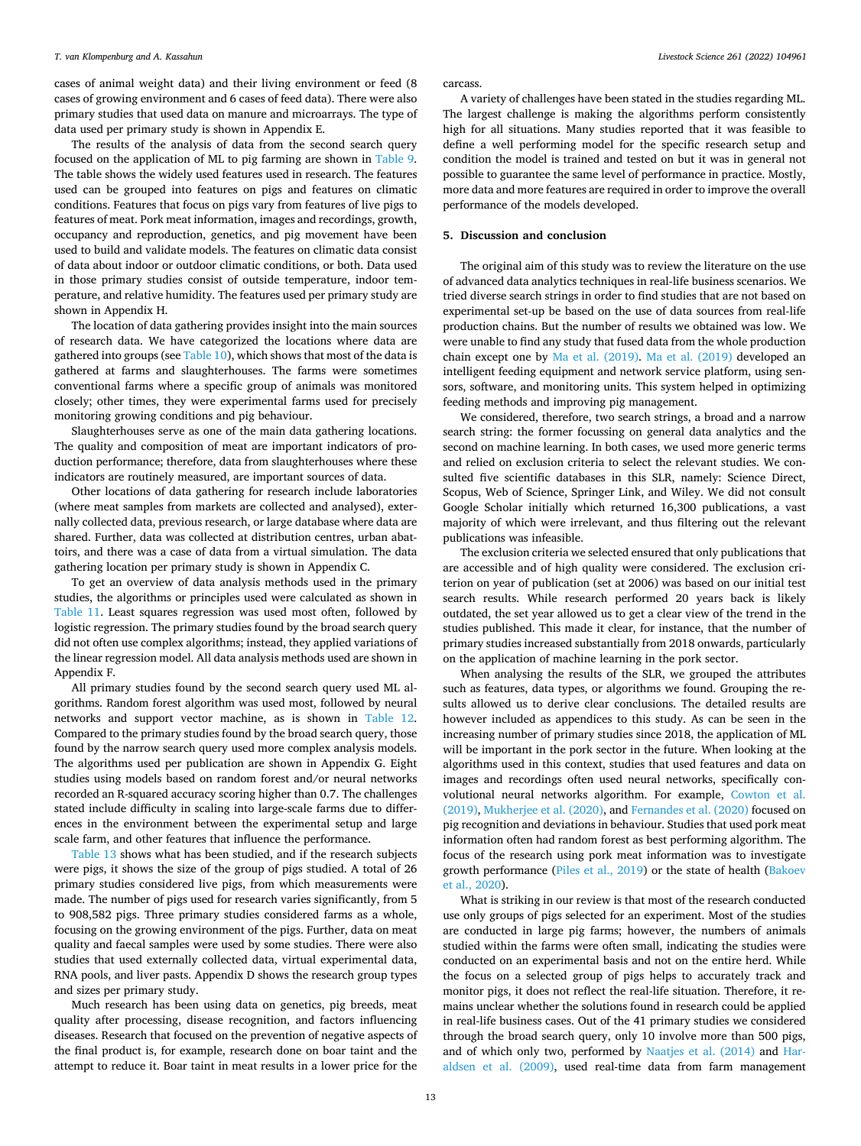cases of animal weight data) and their living environment or feed (8 cases of growing environment and 6 cases of feed data). There were also primary studies that used data on manure and microarrays. The type of data used per primary study is shown in Appendix E.

The results of the analysis of data from the second search query focused on the application of ML to pig farming are shown in [Table 9](#page-4-0). The table shows the widely used features used in research. The features used can be grouped into features on pigs and features on climatic conditions. Features that focus on pigs vary from features of live pigs to features of meat. Pork meat information, images and recordings, growth, occupancy and reproduction, genetics, and pig movement have been used to build and validate models. The features on climatic data consist of data about indoor or outdoor climatic conditions, or both. Data used in those primary studies consist of outside temperature, indoor temperature, and relative humidity. The features used per primary study are shown in Appendix H.

The location of data gathering provides insight into the main sources of research data. We have categorized the locations where data are gathered into groups (see [Table 10](#page-4-0)), which shows that most of the data is gathered at farms and slaughterhouses. The farms were sometimes conventional farms where a specific group of animals was monitored closely; other times, they were experimental farms used for precisely monitoring growing conditions and pig behaviour.

Slaughterhouses serve as one of the main data gathering locations. The quality and composition of meat are important indicators of production performance; therefore, data from slaughterhouses where these indicators are routinely measured, are important sources of data.

Other locations of data gathering for research include laboratories (where meat samples from markets are collected and analysed), externally collected data, previous research, or large database where data are shared. Further, data was collected at distribution centres, urban abattoirs, and there was a case of data from a virtual simulation. The data gathering location per primary study is shown in Appendix C.

To get an overview of data analysis methods used in the primary studies, the algorithms or principles used were calculated as shown in [Table 11.](#page-4-0) Least squares regression was used most often, followed by logistic regression. The primary studies found by the broad search query did not often use complex algorithms; instead, they applied variations of the linear regression model. All data analysis methods used are shown in Appendix F.

All primary studies found by the second search query used ML algorithms. Random forest algorithm was used most, followed by neural networks and support vector machine, as is shown in [Table 12](#page-4-0). Compared to the primary studies found by the broad search query, those found by the narrow search query used more complex analysis models. The algorithms used per publication are shown in Appendix G. Eight studies using models based on random forest and/or neural networks recorded an R-squared accuracy scoring higher than 0.7. The challenges stated include difficulty in scaling into large-scale farms due to differences in the environment between the experimental setup and large scale farm, and other features that influence the performance.

[Table 13](#page-4-0) shows what has been studied, and if the research subjects were pigs, it shows the size of the group of pigs studied. A total of 26 primary studies considered live pigs, from which measurements were made. The number of pigs used for research varies significantly, from 5 to 908,582 pigs. Three primary studies considered farms as a whole, focusing on the growing environment of the pigs. Further, data on meat quality and faecal samples were used by some studies. There were also studies that used externally collected data, virtual experimental data, RNA pools, and liver pasts. Appendix D shows the research group types and sizes per primary study.

Much research has been using data on genetics, pig breeds, meat quality after processing, disease recognition, and factors influencing diseases. Research that focused on the prevention of negative aspects of the final product is, for example, research done on boar taint and the attempt to reduce it. Boar taint in meat results in a lower price for the

carcass.

A variety of challenges have been stated in the studies regarding ML. The largest challenge is making the algorithms perform consistently high for all situations. Many studies reported that it was feasible to define a well performing model for the specific research setup and condition the model is trained and tested on but it was in general not possible to guarantee the same level of performance in practice. Mostly, more data and more features are required in order to improve the overall performance of the models developed.

# **5. Discussion and conclusion**

The original aim of this study was to review the literature on the use of advanced data analytics techniques in real-life business scenarios. We tried diverse search strings in order to find studies that are not based on experimental set-up be based on the use of data sources from real-life production chains. But the number of results we obtained was low. We were unable to find any study that fused data from the whole production chain except one by [Ma et al. \(2019\).](#page-13-0) [Ma et al. \(2019\)](#page-13-0) developed an intelligent feeding equipment and network service platform, using sensors, software, and monitoring units. This system helped in optimizing feeding methods and improving pig management.

We considered, therefore, two search strings, a broad and a narrow search string: the former focussing on general data analytics and the second on machine learning. In both cases, we used more generic terms and relied on exclusion criteria to select the relevant studies. We consulted five scientific databases in this SLR, namely: Science Direct, Scopus, Web of Science, Springer Link, and Wiley. We did not consult Google Scholar initially which returned 16,300 publications, a vast majority of which were irrelevant, and thus filtering out the relevant publications was infeasible.

The exclusion criteria we selected ensured that only publications that are accessible and of high quality were considered. The exclusion criterion on year of publication (set at 2006) was based on our initial test search results. While research performed 20 years back is likely outdated, the set year allowed us to get a clear view of the trend in the studies published. This made it clear, for instance, that the number of primary studies increased substantially from 2018 onwards, particularly on the application of machine learning in the pork sector.

When analysing the results of the SLR, we grouped the attributes such as features, data types, or algorithms we found. Grouping the results allowed us to derive clear conclusions. The detailed results are however included as appendices to this study. As can be seen in the increasing number of primary studies since 2018, the application of ML will be important in the pork sector in the future. When looking at the algorithms used in this context, studies that used features and data on images and recordings often used neural networks, specifically convolutional neural networks algorithm. For example, [Cowton et al.](#page-13-0)  [\(2019\), Mukherjee et al. \(2020\),](#page-13-0) and [Fernandes et al. \(2020\)](#page-13-0) focused on pig recognition and deviations in behaviour. Studies that used pork meat information often had random forest as best performing algorithm. The focus of the research using pork meat information was to investigate growth performance ([Piles et al., 2019](#page-13-0)) or the state of health [\(Bakoev](#page-13-0)  [et al., 2020\)](#page-13-0).

What is striking in our review is that most of the research conducted use only groups of pigs selected for an experiment. Most of the studies are conducted in large pig farms; however, the numbers of animals studied within the farms were often small, indicating the studies were conducted on an experimental basis and not on the entire herd. While the focus on a selected group of pigs helps to accurately track and monitor pigs, it does not reflect the real-life situation. Therefore, it remains unclear whether the solutions found in research could be applied in real-life business cases. Out of the 41 primary studies we considered through the broad search query, only 10 involve more than 500 pigs, and of which only two, performed by [Naatjes et al. \(2014\)](#page-13-0) and [Har](#page-13-0)[aldsen et al. \(2009\)](#page-13-0), used real-time data from farm management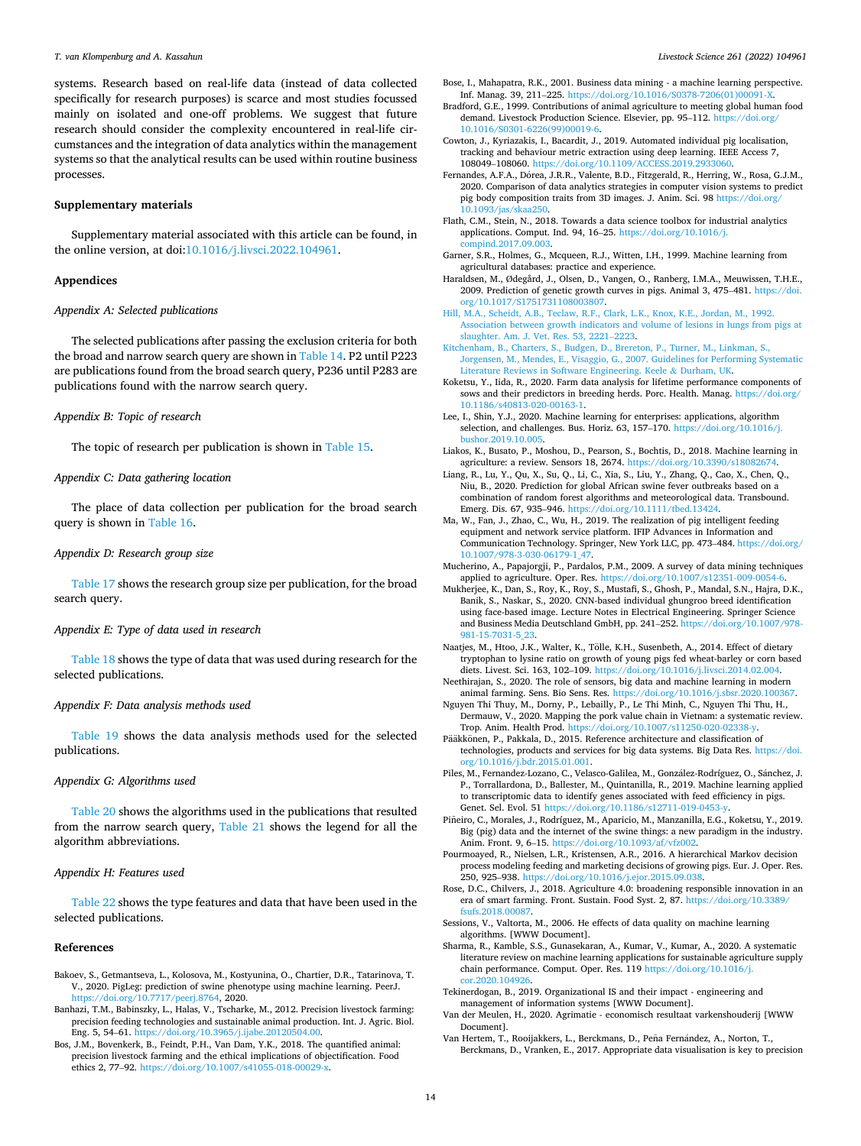<span id="page-13-0"></span>systems. Research based on real-life data (instead of data collected specifically for research purposes) is scarce and most studies focussed mainly on isolated and one-off problems. We suggest that future research should consider the complexity encountered in real-life circumstances and the integration of data analytics within the management systems so that the analytical results can be used within routine business processes.

#### **Supplementary materials**

Supplementary material associated with this article can be found, in the online version, at doi:[10.1016/j.livsci.2022.104961.](https://doi.org/10.1016/j.livsci.2022.104961)

#### **Appendices**

#### *Appendix A: Selected publications*

The selected publications after passing the exclusion criteria for both the broad and narrow search query are shown in [Table 14](#page-5-0). P2 until P223 are publications found from the broad search query, P236 until P283 are publications found with the narrow search query.

## *Appendix B: Topic of research*

The topic of research per publication is shown in [Table 15](#page-8-0).

# *Appendix C: Data gathering location*

The place of data collection per publication for the broad search query is shown in [Table 16.](#page-9-0)

## *Appendix D: Research group size*

[Table 17](#page-9-0) shows the research group size per publication, for the broad search query.

#### *Appendix E: Type of data used in research*

[Table 18](#page-10-0) shows the type of data that was used during research for the selected publications.

### *Appendix F: Data analysis methods used*

[Table 19](#page-10-0) shows the data analysis methods used for the selected publications.

#### *Appendix G: Algorithms used*

[Table 20](#page-11-0) shows the algorithms used in the publications that resulted from the narrow search query, [Table 21](#page-11-0) shows the legend for all the algorithm abbreviations.

#### *Appendix H: Features used*

[Table 22](#page-11-0) shows the type features and data that have been used in the selected publications.

# **References**

- Bakoev, S., Getmantseva, L., Kolosova, M., Kostyunina, O., Chartier, D.R., Tatarinova, T. V., 2020. PigLeg: prediction of swine phenotype using machine learning. PeerJ. [https://doi.org/10.7717/peerj.8764,](https://doi.org/10.7717/peerj.8764) 2020.
- Banhazi, T.M., Babinszky, L., Halas, V., Tscharke, M., 2012. Precision livestock farming: precision feeding technologies and sustainable animal production. Int. J. Agric. Biol. Eng. 5, 54–61. [https://doi.org/10.3965/j.ijabe.20120504.00.](https://doi.org/10.3965/j.ijabe.20120504.00)
- Bos, J.M., Bovenkerk, B., Feindt, P.H., Van Dam, Y.K., 2018. The quantified animal: precision livestock farming and the ethical implications of objectification. Food ethics 2, 77–92. <https://doi.org/10.1007/s41055-018-00029-x>.

Bose, I., Mahapatra, R.K., 2001. Business data mining - a machine learning perspective. Inf. Manag. 39, 211-225. https://doi.org/10.1016/S0378-7206(01)0

- Bradford, G.E., 1999. Contributions of animal agriculture to meeting global human food demand. Livestock Production Science. Elsevier, pp. 95-112. [https://doi.org/](https://doi.org/10.1016/S0301-6226(99)00019-6) [10.1016/S0301-6226\(99\)00019-6.](https://doi.org/10.1016/S0301-6226(99)00019-6)
- Cowton, J., Kyriazakis, I., Bacardit, J., 2019. Automated individual pig localisation, tracking and behaviour metric extraction using deep learning. IEEE Access 7, 108049–108060. <https://doi.org/10.1109/ACCESS.2019.2933060>.
- Fernandes, A.F.A., Dórea, J.R.R., Valente, B.D., Fitzgerald, R., Herring, W., Rosa, G.J.M., 2020. Comparison of data analytics strategies in computer vision systems to predict pig body composition traits from 3D images. J. Anim. Sci. 98 [https://doi.org/](https://doi.org/10.1093/jas/skaa250) [10.1093/jas/skaa250.](https://doi.org/10.1093/jas/skaa250)
- Flath, C.M., Stein, N., 2018. Towards a data science toolbox for industrial analytics applications. Comput. Ind. 94, 16–25. [https://doi.org/10.1016/j.](https://doi.org/10.1016/j.compind.2017.09.003)  [compind.2017.09.003.](https://doi.org/10.1016/j.compind.2017.09.003)
- Garner, S.R., Holmes, G., Mcqueen, R.J., Witten, I.H., 1999. Machine learning from agricultural databases: practice and experience.
- Haraldsen, M., Ødegård, J., Olsen, D., Vangen, O., Ranberg, I.M.A., Meuwissen, T.H.E., 2009. Prediction of genetic growth curves in pigs. Animal 3, 475–481. [https://doi.](https://doi.org/10.1017/S1751731108003807) [org/10.1017/S1751731108003807](https://doi.org/10.1017/S1751731108003807).
- [Hill, M.A., Scheidt, A.B., Teclaw, R.F., Clark, L.K., Knox, K.E., Jordan, M., 1992.](http://refhub.elsevier.com/S1871-1413(22)00140-8/sbref0011)  [Association between growth indicators and volume of lesions in lungs from pigs at](http://refhub.elsevier.com/S1871-1413(22)00140-8/sbref0011)  [slaughter. Am. J. Vet. Res. 53, 2221](http://refhub.elsevier.com/S1871-1413(22)00140-8/sbref0011)–2223.
- [Kitchenham, B., Charters, S., Budgen, D., Brereton, P., Turner, M., Linkman, S.,](http://refhub.elsevier.com/S1871-1413(22)00140-8/sbref0012) [Jorgensen, M., Mendes, E., Visaggio, G., 2007. Guidelines for Performing Systematic](http://refhub.elsevier.com/S1871-1413(22)00140-8/sbref0012)  [Literature Reviews in Software Engineering. Keele](http://refhub.elsevier.com/S1871-1413(22)00140-8/sbref0012) & Durham, UK.
- Koketsu, Y., Iida, R., 2020. Farm data analysis for lifetime performance components of sows and their predictors in breeding herds. Porc. Health. Manag. [https://doi.org/](https://doi.org/10.1186/s40813-020-00163-1) [10.1186/s40813-020-00163-1.](https://doi.org/10.1186/s40813-020-00163-1)
- Lee, I., Shin, Y.J., 2020. Machine learning for enterprises: applications, algorithm selection, and challenges. Bus. Horiz. 63, 157–170. https://doi.org/10.1016/j. [bushor.2019.10.005.](https://doi.org/10.1016/j.bushor.2019.10.005)
- Liakos, K., Busato, P., Moshou, D., Pearson, S., Bochtis, D., 2018. Machine learning in agriculture: a review. Sensors 18, 2674.<https://doi.org/10.3390/s18082674>.
- Liang, R., Lu, Y., Qu, X., Su, Q., Li, C., Xia, S., Liu, Y., Zhang, Q., Cao, X., Chen, Q., Niu, B., 2020. Prediction for global African swine fever outbreaks based on a combination of random forest algorithms and meteorological data. Transbound. Emerg. Dis. 67, 935–946. <https://doi.org/10.1111/tbed.13424>.
- Ma, W., Fan, J., Zhao, C., Wu, H., 2019. The realization of pig intelligent feeding equipment and network service platform. IFIP Advances in Information and Communication Technology. Springer, New York LLC, pp. 473–484. [https://doi.org/](https://doi.org/10.1007/978-3-030-06179-1_47)  [10.1007/978-3-030-06179-1\\_47](https://doi.org/10.1007/978-3-030-06179-1_47).
- Mucherino, A., Papajorgji, P., Pardalos, P.M., 2009. A survey of data mining techniques applied to agriculture. Oper. Res. [https://doi.org/10.1007/s12351-009-0054-6.](https://doi.org/10.1007/s12351-009-0054-6)
- Mukherjee, K., Dan, S., Roy, K., Roy, S., Mustafi, S., Ghosh, P., Mandal, S.N., Hajra, D.K., Banik, S., Naskar, S., 2020. CNN-based individual ghungroo breed identification using face-based image. Lecture Notes in Electrical Engineering. Springer Science and Business Media Deutschland GmbH, pp. 241–252. [https://doi.org/10.1007/978-](https://doi.org/10.1007/978-981-15-7031-5_23)  [981-15-7031-5\\_23.](https://doi.org/10.1007/978-981-15-7031-5_23)
- Naatjes, M., Htoo, J.K., Walter, K., Tölle, K.H., Susenbeth, A., 2014. Effect of dietary tryptophan to lysine ratio on growth of young pigs fed wheat-barley or corn based diets. Livest. Sci. 163, 102–109. <https://doi.org/10.1016/j.livsci.2014.02.004>.
- Neethirajan, S., 2020. The role of sensors, big data and machine learning in modern animal farming. Sens. Bio Sens. Res. <https://doi.org/10.1016/j.sbsr.2020.100367>.
- Nguyen Thi Thuy, M., Dorny, P., Lebailly, P., Le Thi Minh, C., Nguyen Thi Thu, H., Dermauw, V., 2020. Mapping the pork value chain in Vietnam: a systematic review. Trop. Anim. Health Prod. [https://doi.org/10.1007/s11250-020-02338-y.](https://doi.org/10.1007/s11250-020-02338-y)
- Pääkkönen, P., Pakkala, D., 2015. Reference architecture and classification of technologies, products and services for big data systems. Big Data Res. [https://doi.](https://doi.org/10.1016/j.bdr.2015.01.001) [org/10.1016/j.bdr.2015.01.001](https://doi.org/10.1016/j.bdr.2015.01.001).
- Piles, M., Fernandez-Lozano, C., Velasco-Galilea, M., González-Rodríguez, O., Sánchez, J. P., Torrallardona, D., Ballester, M., Quintanilla, R., 2019. Machine learning applied to transcriptomic data to identify genes associated with feed efficiency in pigs. Genet. Sel. Evol. 51 https://doi.org/10.1186/s12711-019-0453
- Piñeiro, C., Morales, J., Rodríguez, M., Aparicio, M., Manzanilla, E.G., Koketsu, Y., 2019. Big (pig) data and the internet of the swine things: a new paradigm in the industry. Anim. Front. 9, 6–15. [https://doi.org/10.1093/af/vfz002.](https://doi.org/10.1093/af/vfz002)
- Pourmoayed, R., Nielsen, L.R., Kristensen, A.R., 2016. A hierarchical Markov decision process modeling feeding and marketing decisions of growing pigs. Eur. J. Oper. Res. 250, 925–938. [https://doi.org/10.1016/j.ejor.2015.09.038.](https://doi.org/10.1016/j.ejor.2015.09.038)
- Rose, D.C., Chilvers, J., 2018. Agriculture 4.0: broadening responsible innovation in an era of smart farming. Front. Sustain. Food Syst. 2, 87. https://doi.org/10.3389 [fsufs.2018.00087](https://doi.org/10.3389/fsufs.2018.00087).
- Sessions, V., Valtorta, M., 2006. He effects of data quality on machine learning algorithms. [WWW Document].
- Sharma, R., Kamble, S.S., Gunasekaran, A., Kumar, V., Kumar, A., 2020. A systematic literature review on machine learning applications for sustainable agriculture supply chain performance. Comput. Oper. Res. 119 [https://doi.org/10.1016/j.](https://doi.org/10.1016/j.cor.2020.104926)  [cor.2020.104926.](https://doi.org/10.1016/j.cor.2020.104926)
- Tekinerdogan, B., 2019. Organizational IS and their impact engineering and management of information systems [WWW Document].
- Van der Meulen, H., 2020. Agrimatie economisch resultaat varkenshouderij [WWW Document].
- Van Hertem, T., Rooijakkers, L., Berckmans, D., Peña Fernández, A., Norton, T., Berckmans, D., Vranken, E., 2017. Appropriate data visualisation is key to precision